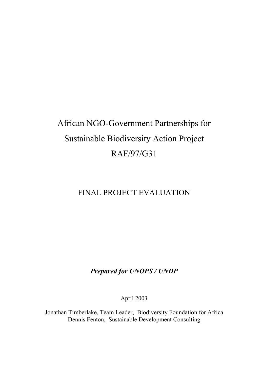# African NGO-Government Partnerships for Sustainable Biodiversity Action Project RAF/97/G31

# FINAL PROJECT EVALUATION

# *Prepared for UNOPS / UNDP*

April 2003

Jonathan Timberlake, Team Leader, Biodiversity Foundation for Africa Dennis Fenton, Sustainable Development Consulting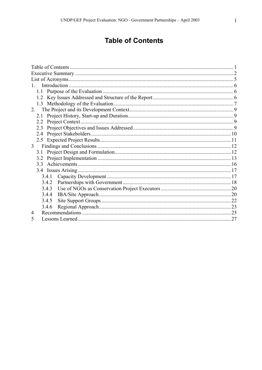# **Table of Contents**

| $1 \quad$ |  |  |
|-----------|--|--|
|           |  |  |
|           |  |  |
|           |  |  |
| 2.        |  |  |
| 2.1       |  |  |
|           |  |  |
| 2.3       |  |  |
| 2.4       |  |  |
|           |  |  |
| 3         |  |  |
| 3.1       |  |  |
| 3.2       |  |  |
| 3.3       |  |  |
|           |  |  |
| 3.4.1     |  |  |
| 3.4.2     |  |  |
| 3.4.3     |  |  |
| 3.4.4     |  |  |
| 3.4.5     |  |  |
| 3.4.6     |  |  |
|           |  |  |
| 5         |  |  |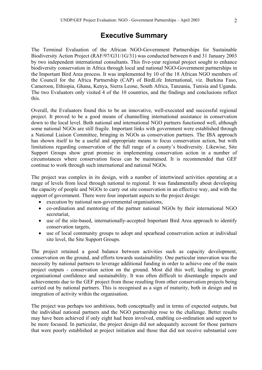# **Executive Summary**

The Terminal Evaluation of the African NGO-Government Partnerships for Sustainable Biodiversity Action Project (RAF/97/G31/1G/31) was conducted between 6 and 31 January 2003 by two independent international consultants. This five-year regional project sought to enhance biodiversity conservation in Africa through local and national NGO-Government partnerships in the Important Bird Area process. It was implemented by 10 of the 18 African NGO members of the Council for the Africa Partnership (CAP) of BirdLife International, viz. Burkina Faso, Cameroon, Ethiopia, Ghana, Kenya, Sierra Leone, South Africa, Tanzania, Tunisia and Uganda. The two Evaluators only visited 4 of the 10 countries, and the findings and conclusions reflect this.

Overall, the Evaluators found this to be an innovative, well-executed and successful regional project. It proved to be a good means of channelling international assistance in conservation down to the local level. Both national and international NGO partners functioned well, although some national NGOs are still fragile. Important links with government were established through a National Liaison Committee, bringing in NGOs as conservation partners. The IBA approach has shown itself to be a useful and appropriate means to focus conservation action, but with limitations regarding conservation of the full range of a county's biodiversity. Likewise, Site Support Groups show great promise in implementing conservation action in a number of circumstances where conservation focus can be maintained. It is recommended that GEF continue to work through such international and national NGOs.

The project was complex in its design, with a number of intertwined activities operating at a range of levels from local through national to regional. It was fundamentally about developing the capacity of people and NGOs to carry out site conservation in an effective way, and with the support of government. There were four important aspects to the project design:

- execution by national non-governmental organisations,
- co-ordination and mentoring of the partner national NGOs by their international NGO secretariat,
- use of the site-based, internationally-accepted Important Bird Area approach to identify conservation targets,
- use of local community groups to adopt and spearhead conservation action at individual site level, the Site Support Groups.

The project retained a good balance between activities such as capacity development, conservation on the ground, and efforts towards sustainability. One particular innovation was the necessity by national partners to leverage additional funding in order to achieve one of the main project outputs - conservation action on the ground. Most did this well, leading to greater organisational confidence and sustainability. It was often difficult to disentangle impacts and achievements due to the GEF project from those resulting from other conservation projects being carried out by national partners. This is recognised as a sign of maturity, both in design and in integration of activity within the organisation.

The project was perhaps too ambitious, both conceptually and in terms of expected outputs, but the individual national partners and the NGO partnership rose to the challenge. Better results may have been achieved if only eight had been involved, enabling co-ordination and support to be more focused. In particular, the project design did not adequately account for those partners that were poorly established at project initiation and those that did not receive substantial core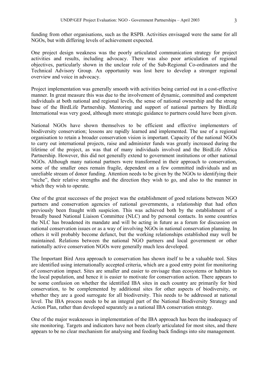funding from other organisations, such as the RSPB. Activities envisaged were the same for all NGOs, but with differing levels of achievement expected.

One project design weakness was the poorly articulated communication strategy for project activities and results, including advocacy. There was also poor articulation of regional objectives, particularly shown in the unclear role of the Sub-Regional Co-ordinators and the Technical Advisory Group. An opportunity was lost here to develop a stronger regional overview and voice in advocacy.

Project implementation was generally smooth with activities being carried out in a cost-effective manner. In great measure this was due to the involvement of dynamic, committed and competent individuals at both national and regional levels, the sense of national ownership and the strong base of the BirdLife Partnership. Mentoring and support of national partners by BirdLife International was very good, although more strategic guidance to partners could have been given.

National NGOs have shown themselves to be efficient and effective implementers of biodiversity conservation; lessons are rapidly learned and implemented. The use of a regional organisation to retain a broader conservation vision is important. Capacity of the national NGOs to carry out international projects, raise and administer funds was greatly increased during the lifetime of the project, as was that of many individuals involved and the BirdLife Africa Partnership. However, this did not generally extend to government institutions or other national NGOs. Although many national partners were transformed in their approach to conservation, some of the smaller ones remain fragile, dependent on a few committed individuals and an unreliable stream of donor funding. Attention needs to be given by the NGOs to identifying their "niche", their relative strengths and the direction they wish to go, and also to the manner in which they wish to operate.

One of the great successes of the project was the establishment of good relations between NGO partners and conservation agencies of national governments, a relationship that had often previously been fraught with suspicion. This was achieved both by the establishment of a broadly based National Liaison Committee (NLC) and by personal contacts. In some countries the NLC has broadened its mandate and will be acting in future as a forum for discussion on national conservation issues or as a way of involving NGOs in national conservation planning. In others it will probably become defunct, but the working relationships established may well be maintained. Relations between the national NGO partners and local government or other nationally active conservation NGOs were generally much less developed.

The Important Bird Area approach to conservation has shown itself to be a valuable tool. Sites are identified using internationally accepted criteria, which are a good entry point for monitoring of conservation impact. Sites are smaller and easier to envisage than ecosystems or habitats to the local population, and hence it is easier to motivate for conservation action. There appears to be some confusion on whether the identified IBA sites in each country are primarily for bird conservation, to be complemented by additional sites for other aspects of biodiversity, or whether they are a good surrogate for all biodiversity. This needs to be addressed at national level. The IBA process needs to be an integral part of the National Biodiversity Strategy and Action Plan, rather than developed separately as a national IBA conservation strategy.

One of the major weaknesses in implementation of the IBA approach has been the inadequacy of site monitoring. Targets and indicators have not been clearly articulated for most sites, and there appears to be no clear mechanism for analysing and feeding back findings into site management.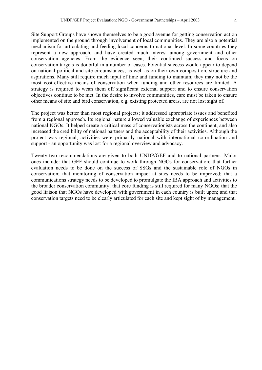Site Support Groups have shown themselves to be a good avenue for getting conservation action implemented on the ground through involvement of local communities. They are also a potential mechanism for articulating and feeding local concerns to national level. In some countries they represent a new approach, and have created much interest among government and other conservation agencies. From the evidence seen, their continued success and focus on conservation targets is doubtful in a number of cases. Potential success would appear to depend on national political and site circumstances, as well as on their own composition, structure and aspirations. Many still require much input of time and funding to maintain; they may not be the most cost-effective means of conservation when funding and other resources are limited. A strategy is required to wean them off significant external support and to ensure conservation objectives continue to be met. In the desire to involve communities, care must be taken to ensure other means of site and bird conservation, e.g. existing protected areas, are not lost sight of.

The project was better than most regional projects; it addressed appropriate issues and benefited from a regional approach. Its regional nature allowed valuable exchange of experiences between national NGOs. It helped create a critical mass of conservationists across the continent, and also increased the credibility of national partners and the acceptability of their activities. Although the project was regional, activities were primarily national with international co-ordination and support - an opportunity was lost for a regional overview and advocacy.

Twenty-two recommendations are given to both UNDP/GEF and to national partners. Major ones include: that GEF should continue to work through NGOs for conservation; that further evaluation needs to be done on the success of SSGs and the sustainable role of NGOs in conservation; that monitoring of conservation impact at sites needs to be improved; that a communications strategy needs to be developed to promulgate the IBA approach and activities to the broader conservation community; that core funding is still required for many NGOs; that the good liaison that NGOs have developed with government in each country is built upon; and that conservation targets need to be clearly articulated for each site and kept sight of by management.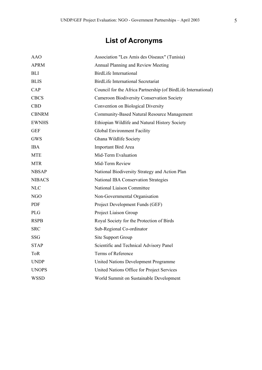# **List of Acronyms**

| AAO           | Association "Les Amis des Oiseaux" (Tunisia)                   |
|---------------|----------------------------------------------------------------|
| <b>APRM</b>   | Annual Planning and Review Meeting                             |
| BLI           | <b>BirdLife International</b>                                  |
| <b>BLIS</b>   | BirdLife International Secretariat                             |
| CAP           | Council for the Africa Partnership (of BirdLife International) |
| <b>CBCS</b>   | <b>Cameroon Biodiversity Conservation Society</b>              |
| <b>CBD</b>    | Convention on Biological Diversity                             |
| <b>CBNRM</b>  | Community-Based Natural Resource Management                    |
| <b>EWNHS</b>  | Ethiopian Wildlife and Natural History Society                 |
| <b>GEF</b>    | Global Environment Facility                                    |
| <b>GWS</b>    | Ghana Wildlife Society                                         |
| <b>IBA</b>    | Important Bird Area                                            |
| <b>MTE</b>    | Mid-Term Evaluation                                            |
| <b>MTR</b>    | Mid-Term Review                                                |
| <b>NBSAP</b>  | National Biodiversity Strategy and Action Plan                 |
| <b>NIBACS</b> | <b>National IBA Conservation Strategies</b>                    |
| <b>NLC</b>    | National Liaison Committee                                     |
| <b>NGO</b>    | Non-Governmental Organisation                                  |
| PDF           | Project Development Funds (GEF)                                |
| <b>PLG</b>    | Project Liaison Group                                          |
| <b>RSPB</b>   | Royal Society for the Protection of Birds                      |
| <b>SRC</b>    | Sub-Regional Co-ordinator                                      |
| SSG           | Site Support Group                                             |
| <b>STAP</b>   | Scientific and Technical Advisory Panel                        |
| <b>ToR</b>    | Terms of Reference                                             |
| <b>UNDP</b>   | United Nations Development Programme                           |
| <b>UNOPS</b>  | United Nations Office for Project Services                     |
| WSSD          | World Summit on Sustainable Development                        |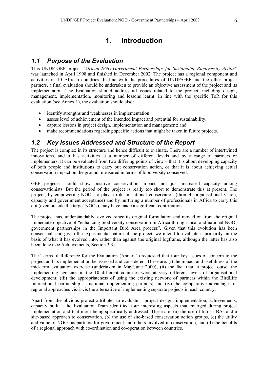# **1. Introduction**

# *1.1 Purpose of the Evaluation*

This UNDP GEF project "*African NGO-Government Partnerships for Sustainable Biodiversity Action*" was launched in April 1998 and finished in December 2002. The project has a regional component and activities in 10 African countries. In line with the procedures of UNDP/GEF and the other project partners, a final evaluation should be undertaken to provide an objective assessment of the project and its implementation. The Evaluation should address all issues related to the project, including design, management, implementation, monitoring and lessons learnt. In line with the specific ToR for this evaluation (see Annex 1), the evaluation should also:

- identify strengths and weaknesses in implementation;
- assess level of achievement of the intended impact and potential for sustainability;
- capture lessons in project design, implementation and management; and
- make recommendations regarding specific actions that might be taken in future projects.

# *1.2 Key Issues Addressed and Structure of the Report*

The project is complex in its structure and hence difficult to evaluate. There are a number of intertwined innovations, and it has activities at a number of different levels and by a range of partners or implementers. It can be evaluated from two differing points of view – that it is about developing capacity of both people and institutions to carry out conservation action, or that it is about achieving actual conservation impact on the ground, measured in terms of biodiversity conserved.

GEF projects should show positive conservation impact, not just increased capacity among conservationists. But the period of the project is really too short to demonstrate this at present. The project, by empowering NGOs to play a role in national conservation (through organisational vision, capacity and government acceptance) and by nurturing a number of professionals in Africa to carry this out (even outside the target NGOs), may have made a significant contribution.

The project has, understandably, evolved since its original formulation and moved on from the original immediate objective of "enhancing biodiversity conservation in Africa through local and national NGOgovernment partnerships in the Important Bird Area process". Given that this evolution has been consensual, and given the experimental nature of the project, we intend to evaluate it primarily on the basis of what it has evolved into, rather than against the original logframe, although the latter has also been done (see Achievements, Section 3.3).

The Terms of Reference for the Evaluation (Annex 1) requested that four key issues of concern to the project and its implementation be assessed and considered. These are: (i) the impact and usefulness of the mid-term evaluation exercise (undertaken in May/June 2000); (ii) the fact that at project outset the implementing agencies in the 10 different countries were at very different levels of organisational development; (iii) the appropriateness of using the existing network of partners within the BirdLife International partnership as national implementing partners; and (iv) the comparative advantages of regional approaches vis-à-vis the alternative of implementing separate projects in each country.

Apart from the obvious project attributes to evaluate – project design, implementation, achievements, capacity built – the Evaluation Team identified four interesting aspects that emerged during project implementation and that merit being specifically addressed. These are: (a) the use of birds, IBAs and a site-based approach to conservation, (b) the use of site-based conservation action groups, (c) the utility and value of NGOs as partners for government and others involved in conservation, and (d) the benefits of a regional approach with co-ordination and co-operation between countries.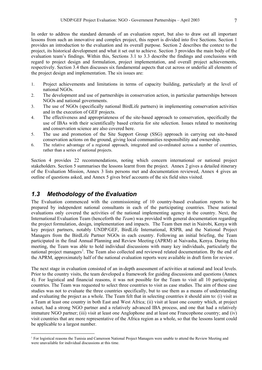In order to address the standard demands of an evaluation report, but also to draw out all important lessons from such an innovative and complex project, this report is divided into five Sections. Section 1 provides an introduction to the evaluation and its overall purpose. Section 2 describes the context to the project, its historical development and what it set out to achieve. Section 3 provides the main body of the evaluation team's findings. Within this, Sections 3.1 to 3.3 describe the findings and conclusions with regard to project design and formulation, project implementation, and overall project achievements, respectively. Section 3.4 then discusses six fundamental aspects that cut across or underlie all elements of the project design and implementation. The six issues are:

- 1. Project achievements and limitations in terms of capacity building, particularly at the level of national NGOs.
- 2. The development and use of partnerships in conservation action, in particular partnerships between NGOs and national governments.
- 3. The use of NGOs (specifically national BirdLife partners) in implementing conservation activities and in the execution of GEF projects.
- 4. The effectiveness and appropriateness of the site-based approach to conservation, specifically the use of IBAs with their scientifically based criteria for site selection. Issues related to monitoring and conservation science are also covered here.
- 5. The use and promotion of the Site Support Group (SSG) approach in carrying out site-based conservation actions on the ground, giving local communities responsibility and ownership.
- 6. The relative advantage of a regional approach, integrated and co-ordinated across a number of countries, rather than a series of national projects.

Section 4 provides 22 recommendations, noting which concern international or national project stakeholders. Section 5 summarises the lessons learnt from the project. Annex 2 gives a detailed itinerary of the Evaluation Mission, Annex 3 lists persons met and documentation reviewed, Annex 4 gives an outline of questions asked, and Annex 5 gives brief accounts of the six field sites visited.

# *1.3 Methodology of the Evaluation*

<u>.</u>

The Evaluation commenced with the commissioning of 10 country-based evaluation reports to be prepared by independent national consultants in each of the participating countries. These national evaluations only covered the activities of the national implementing agency in the country. Next, the International Evaluation Team (henceforth the *Team*) was provided with general documentation regarding the project formulation, design, implementation and impacts. The Team then met in Nairobi, Kenya with key project partners, notably UNDP/GEF, BirdLife International, RSPB, and the National Project Managers from the BirdLife Partner NGOs in each country. Following an initial briefing, the Team participated in the final Annual Planning and Review Meeting (APRM) at Naivasha, Kenya. During this meeting, the Team was able to hold individual discussions with many key individuals, particularly the national project managers<sup>[1](#page-7-0)</sup>. The Team also collected and reviewed related documentation. By the end of the APRM, approximately half of the national evaluation reports were available in draft form for review.

The next stage in evaluation consisted of an in-depth assessment of activities at national and local levels. Prior to the country visits, the team developed a framework for guiding discussions and questions (Annex 4). For logistical and financial reasons, it was not possible for the Team to visit all 10 participating countries. The Team was requested to select three countries to visit as case studies. The aim of these case studies was not to evaluate the three countries specifically, but to use them as a means of understanding and evaluating the project as a whole. The Team felt that in selecting countries it should aim to: (i) visit as a Team at least one country in both East and West Africa; (ii) visit at least one country which, at project outset, had a strong NGO partner and a relatively advanced IBA process, and one that had a relatively immature NGO partner; (iii) visit at least one Anglophone and at least one Francophone country; and (iv) visit countries that are more representative of the Africa region as a whole, so that the lessons learnt could be applicable to a largest number.

<span id="page-7-0"></span><sup>1</sup> For logistical reasons the Tunisia and Cameroon National Project Managers were unable to attend the Review Meeting and were unavailable for individual discussions at this time.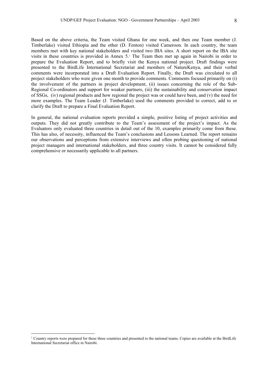Based on the above criteria, the Team visited Ghana for one week, and then one Team member (J. Timberlake) visited Ethiopia and the other (D. Fenton) visited Cameroon. In each country, the team members met with key national stakeholders and visited two IBA sites. A short report on the IBA site visits in these countries is provided in Annex 5[.2](#page-8-0) The Team then met up again in Nairobi in order to prepare the Evaluation Report, and to briefly visit the Kenya national project. Draft findings were presented to the BirdLife International Secretariat and members of NatureKenya, and their verbal comments were incorporated into a Draft Evaluation Report. Finally, the Draft was circulated to all project stakeholders who were given one month to provide comments. Comments focused primarily on (i) the involvement of the partners in project development, (ii) issues concerning the role of the Sub-Regional Co-ordinators and support for weaker partners, (iii) the sustainability and conservation impact of SSGs, (iv) regional products and how regional the project was or could have been, and (v) the need for more examples. The Team Leader (J. Timberlake) used the comments provided to correct, add to or clarify the Draft to prepare a Final Evaluation Report.

In general, the national evaluation reports provided a simple, positive listing of project activities and outputs. They did not greatly contribute to the Team's assessment of the project's impact. As the Evaluators only evaluated three countries in detail out of the 10, examples primarily come from these. This has also, of necessity, influenced the Team's conclusions and Lessons Learned. The report remains our observations and perceptions from extensive interviews and often probing questioning of national project managers and international stakeholders, and three country visits. It cannot be considered fully comprehensive or necessarily applicable to all partners.

<u>.</u>

<span id="page-8-0"></span><sup>&</sup>lt;sup>2</sup> Country reports were prepared for these three countries and presented to the national teams. Copies are available at the BirdLife International Secretariat office in Nairobi.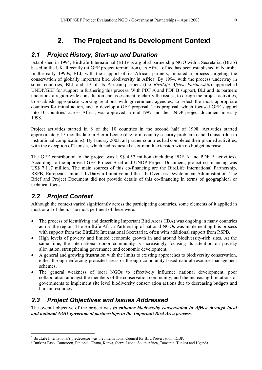# **2. The Project and its Development Context**

# *2.1 Project History, Start-up and Duration*

Established in 1994, BirdLife International (BLI)<sup>[3](#page-9-0)</sup> is a global partnership NGO with a Secretariat (BLIS) based in the UK. Recently (at GEF project termination), an Africa office has been established in Nairobi. In the early 1990s, BLI, with the support of its African partners, initiated a process targeting the conservation of globally important bird biodiversity in Africa. By 1994, with the process underway in some countries, BLI and 19 of its African partners (the *BirdLife Africa Partnership*) approached UNDP/GEF for support in furthering this process. With PDF A and PDF B support, BLI and its partners undertook a region-wide consultation and assessment to clarify the issues, to design the project activities, to establish appropriate working relations with government agencies, to select the most appropriate countries for initial action, and to develop a GEF proposal. This proposal, which focused GEF support into 10 countries<sup>[4](#page-9-1)</sup> across Africa, was approved in mid-1997 and the UNDP project document in early 1998.

Project activities started in 8 of the 10 countries in the second half of 1998. Activities started approximately 15 months late in Sierra Leone (due to in-country security problems) and Tunisia (due to institutional complications). By January 2003, all partner countries had completed their planned activities, with the exception of Tunisia, which had requested a six-month extension with no budget increase.

The GEF contribution to the project was US\$ 4.52 million (including PDF A and PDF B activities). According to the approved GEF Project Brief and UNDP Project Document, project co-financing was US\$ 7.117 million. The main sources of this co-financing are the BirdLife International Partnership, RSPB, European Union, UK/Darwin Initiative and the UK Overseas Development Administration. The Brief and Project Document did not provide details of this co-financing in terms of geographical or technical focus.

# *2.2 Project Context*

Although the context varied significantly across the participating countries, some elements of it applied in most or all of them. The most pertinent of these were:

- The process of identifying and describing Important Bird Areas (IBA) was ongoing in many countries across the region. The BirdLife Africa Partnership of national NGOs was implementing this process with support from the BirdLife International Secretariat, often with additional support from RSPB.
- High levels of poverty and limited economic growth in and around biodiversity-rich sites. At the same time, the international donor community is increasingly focusing its attention on poverty alleviation, strengthening governance and economic development;
- A general and growing frustration with the limits to existing approaches to biodiversity conservation, either through enforcing protected areas or through community-based natural resource management schemes;
- The general weakness of local NGOs to effectively influence national development, poor collaboration amongst the members of the conservation community, and the increasing limitations of governments to implement site level biodiversity conservation actions due to decreasing budgets and human resources.

# *2.3 Project Objectives and Issues Addressed*

The overall objective of the project was *to enhance biodiversity conservation in Africa through local and national NGO-government partnerships in the Important Bird Area process.*

<sup>&</sup>lt;u>.</u> <sup>3</sup> BirdLife International's predecessor was the International Council for Bird Preservation, ICBP.

<span id="page-9-1"></span><span id="page-9-0"></span><sup>4</sup> Burkina Faso, Cameroon, Ethiopia, Ghana, Kenya, Sierra Leone, South Africa, Tanzania, Tunisia and Uganda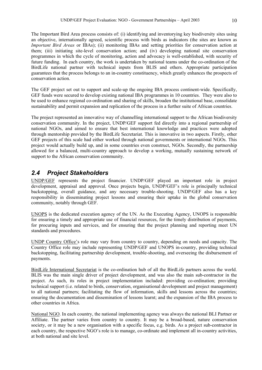The Important Bird Area process consists of: (i) identifying and inventorying key biodiversity sites using an objective, internationally agreed, scientific process with birds as indicators (the sites are known as *Important Bird Areas* or IBAs); (ii) monitoring IBAs and setting priorities for conservation action at them; (iii) initiating site-level conservation action; and (iv) developing national site conservation programmes in which the cycle of monitoring, action and advocacy is well-established, with security of future funding. In each country, the work is undertaken by national teams under the co-ordination of the BirdLife national partner with technical inputs from BLIS and others. Appropriate participation guarantees that the process belongs to an in-country constituency, which greatly enhances the prospects of conservation action.

The GEF project set out to support and scale-up the ongoing IBA process continent-wide. Specifically, GEF funds were secured to develop existing national IBA programmes in 10 countries. They were also to be used to enhance regional co-ordination and sharing of skills, broaden the institutional base, consolidate sustainability and permit expansion and replication of the process in a further suite of African countries.

The project represented an innovative way of channelling international support to the African biodiversity conservation community. In the project, UNDP/GEF support fed directly into a regional partnership of national NGOs, and aimed to ensure that best international knowledge and practices were adopted through mentorship provided by the BirdLife Secretariat. This is innovative in two aspects. Firstly, other GEF projects of this scale had either worked through national governments or international NGOs. This project would actually build up, and in some countries even construct, NGOs. Secondly, the partnership allowed for a balanced, multi-country approach to develop a working, mutually sustaining network of support to the African conservation community.

# *2.4 Project Stakeholders*

UNDP/GEF represents the project financier. UNDP/GEF played an important role in project development, appraisal and approval. Once projects begin, UNDP/GEF's role is principally technical backstopping, overall guidance, and any necessary trouble-shooting. UNDP/GEF also has a key responsibility in disseminating project lessons and ensuring their uptake in the global conservation community, notably through GEF.

UNOPS is the dedicated execution agency of the UN. As the Executing Agency, UNOPS is responsible for ensuring a timely and appropriate use of financial resources, for the timely distribution of payments, for procuring inputs and services, and for ensuring that the project planning and reporting meet UN standards and procedures.

UNDP Country Office's role may vary from country to country, depending on needs and capacity. The Country Office role may include representing UNDP/GEF and UNOPS in-country, providing technical backstopping, facilitating partnership development, trouble-shooting, and overseeing the disbursement of payments.

BirdLife International Secretariat is the co-ordination hub of all the BirdLife partners across the world. BLIS was the main single driver of project development, and was also the main sub-contractor in the project. As such, its roles in project implementation included: providing co-ordination; providing technical support (i.e. related to birds, conservation, organisational development and project management) to all national partners; facilitating the flow of information, skills and lessons across the countries; ensuring the documentation and dissemination of lessons learnt; and the expansion of the IBA process to other countries in Africa.

National NGO. In each country, the national implementing agency was always the national BLI Partner or Affiliate. The partner varies from country to country. It may be a broad-based, nature conservation society, or it may be a new organisation with a specific focus, e.g. birds. As a project sub-contractor in each country, the respective NGO's role is to manage, co-ordinate and implement all in-country activities, at both national and site level.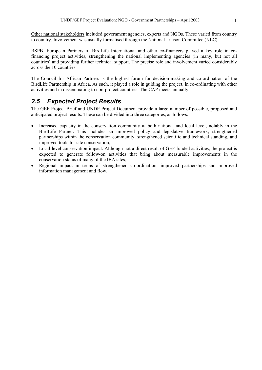Other national stakeholders included government agencies, experts and NGOs. These varied from country to country. Involvement was usually formalised through the National Liaison Committee (NLC).

RSPB, European Partners of BirdLife International and other co-financers played a key role in cofinancing project activities, strengthening the national implementing agencies (in many, but not all countries) and providing further technical support. The precise role and involvement varied considerably across the 10 countries.

The Council for African Partners is the highest forum for decision-making and co-ordination of the BirdLife Partnership in Africa. As such, it played a role in guiding the project, in co-ordinating with other activities and in disseminating to non-project countries. The CAP meets annually.

# *2.5 Expected Project Results*

The GEF Project Brief and UNDP Project Document provide a large number of possible, proposed and anticipated project results. These can be divided into three categories, as follows:

- Increased capacity in the conservation community at both national and local level, notably in the BirdLife Partner. This includes an improved policy and legislative framework, strengthened partnerships within the conservation community, strengthened scientific and technical standing, and improved tools for site conservation;
- Local-level conservation impact. Although not a direct result of GEF-funded activities, the project is expected to generate follow-on activities that bring about measurable improvements in the conservation status of many of the IBA sites;
- Regional impact in terms of strengthened co-ordination, improved partnerships and improved information management and flow.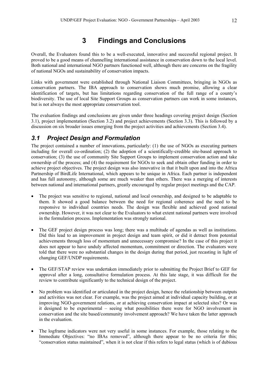Overall, the Evaluators found this to be a well-executed, innovative and successful regional project. It proved to be a good means of channelling international assistance in conservation down to the local level. Both national and international NGO partners functioned well, although there are concerns on the fragility of national NGOs and sustainability of conservation impacts.

Links with government were established through National Liaison Committees, bringing in NGOs as conservation partners. The IBA approach to conservation shows much promise, allowing a clear identification of targets, but has limitations regarding conservation of the full range of a county's biodiversity. The use of local Site Support Groups as conservation partners can work in some instances, but is not always the most appropriate conservation tool.

The evaluation findings and conclusions are given under three headings covering project design (Section 3.1), project implementation (Section 3.2) and project achievements (Section 3.3). This is followed by a discussion on six broader issues emerging from the project activities and achievements (Section 3.4).

# *3.1 Project Design and Formulation*

The project contained a number of innovations, particularly: (1) the use of NGOs as executing partners including for overall co-ordination; (2) the adoption of a scientifically-credible site-based approach to conservation; (3) the use of community Site Support Groups to implement conservation action and take ownership of the process; and (4) the requirement for NGOs to seek and obtain other funding in order to achieve project objectives. The project design was also innovative in that it built upon and into the Africa Partnership of BirdLife International, which appears to be unique in Africa. Each partner is independent and has full autonomy, although some are much weaker than others. There was a merging of interests between national and international partners, greatly encouraged by regular project meetings and the CAP.

- The project was sensitive to regional, national and local ownership, and designed to be adaptable to them. It showed a good balance between the need for regional coherence and the need to be responsive to individual countries needs. The design was flexible and achieved good national ownership. However, it was not clear to the Evaluators to what extent national partners were involved in the formulation process. Implementation was strongly national.
- The GEF project design process was long; there was a multitude of agendas as well as institutions. Did this lead to an improvement in project design and team spirit, or did it detract from potential achievements through loss of momentum and unnecessary compromise? In the case of this project it does not appear to have unduly affected momentum, commitment or direction. The evaluators were told that there were no substantial changes in the design during that period, just recasting in light of changing GEF/UNDP requirements.
- The GEF/STAP review was undertaken immediately prior to submitting the Project Brief to GEF for approval after a long, consultative formulation process. At this late stage, it was difficult for the review to contribute significantly to the technical design of the project.
- No problem was identified or articulated in the project design, hence the relationship between outputs and activities was not clear. For example, was the project aimed at individual capacity building, or at improving NGO-government relations, or at achieving conservation impact at selected sites? Or was it designed to be experimental – seeing what possibilities there were for NGO involvement in conservation and the site based/community involvement approach? We have taken the latter approach in the evaluation.
- The logframe indicators were not very useful in some instances. For example, those relating to the Immediate Objectives: "no IBAs removed", although there appear to be no criteria for this; "conservation status maintained", when it is not clear if this refers to legal status (which is of dubious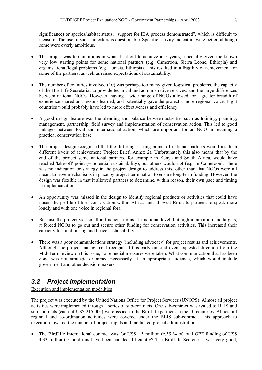significance) or species/habitat status; "support for IBA process demonstrated", which is difficult to measure. The use of such indicators is questionable. Specific activity indicators were better, although some were overly ambitious.

- The project was too ambitious in what it set out to achieve in 5 years, especially given the known very low starting points for some national partners (e.g. Cameroon, Sierra Leone, Ethiopia) and organisational/legal problems (e.g. Tunisia, Ethiopia). This resulted in a fragility of achievement for some of the partners, as well as raised expectations of sustainability.
- The number of countries involved (10) was perhaps too many given logistical problems, the capacity of the BirdLife Secretariat to provide technical and administrative services, and the large differences between national NGOs. However, having a wide range of NGOs allowed for a greater breadth of experience shared and lessons learned, and potentially gave the project a more regional voice. Eight countries would probably have led to more effectiveness and efficiency.
- A good design feature was the blending and balance between activities such as training, planning, management, partnership, field survey and implementation of conservation action. This led to good linkages between local and international action, which are important for an NGO in retaining a practical conservation base.
- The project design recognised that the differing starting points of national partners would result in different levels of achievement (Project Brief, Annex 2). Unfortunately this also means that by the end of the project some national partners, for example in Kenya and South Africa, would have reached 'take-off' point (= potential sustainability), but others would not (e.g. in Cameroon). There was no indication or strategy in the project design to address this, other than that NGOs were all meant to have mechanisms in place by project termination to ensure long-term funding. However, the design was flexible in that it allowed partners to determine, within reason, their own pace and timing in implementation.
- An opportunity was missed in the design to identify regional products or activities that could have raised the profile of bird conservation within Africa, and allowed BirdLife partners to speak more loudly and with one voice in regional fora.
- Because the project was small in financial terms at a national level, but high in ambition and targets, it forced NGOs to go out and secure other funding for conservation activities. This increased their capacity for fund raising and hence sustainability.
- There was a poor communications strategy (including advocacy) for project results and achievements. Although the project management recognised this early on, and even requested direction from the Mid-Term review on this issue, no remedial measures were taken. What communication that has been done was not strategic or aimed necessarily at an appropriate audience, which would include government and other decision-makers.

# *3.2 Project Implementation*

Execution and implementation modalities

The project was executed by the United Nations Office for Project Services (UNOPS). Almost all project activities were implemented through a series of sub-contracts. One sub-contract was issued to BLIS and sub-contracts (each of US\$ 215,000) were issued to the BirdLife partners in the 10 countries. Almost all regional and co-ordination activities were covered under the BLIS sub-contract. This approach to execution lowered the number of project inputs and facilitated project administration.

• The BirdLife International contract was for US\$ 1.5 million (c.35 % of total GEF funding of US\$ 4.33 million). Could this have been handled differently? The BirdLife Secretariat was very good,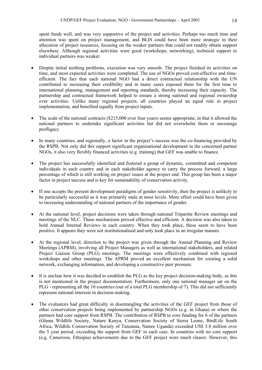spent funds well, and was very supportive of the project and activities. Perhaps too much time and attention was spent on project management, and BLIS could have been more strategic in their allocation of project resources, focusing on the weaker partners that could not readily obtain support elsewhere. Although regional activities were good (workshops, networking), technical support to individual partners was weaker.

- Despite initial teething problems, execution was very smooth. The project finished its activities on time, and most expected activities were completed. The use of NGOs proved cost-effective and timeefficient. The fact that each national NGO had a direct contractual relationship with the UN contributed to increasing their credibility and in many cases exposed them for the first time to international planning, management and reporting standards, thereby increasing their capacity. The partnership and contractual framework helped to ensure a strong national and regional ownership over activities. Unlike many regional projects, all countries played an equal role in project implementation, and benefited equally from project inputs.
- The scale of the national contracts (\$215,000 over four years) seems appropriate, in that it allowed the national partners to undertake significant activities but did not overwhelm them or encourage profligacy.
- In many countries, and regionally, a factor in the project's success was the co-financing provided by the RSPB. Not only did this support significant organisational development in the concerned partner NGOs, it also very flexibly financed activities (e.g. training) that GEF was unable to finance.
- The project has successfully identified and fostered a group of dynamic, committed and competent individuals in each country and in each stakeholder agency to carry the process forward, a large percentage of which is still working on project issues at the project end. This group has been a major factor in project success and is key for sustainability of conservation activity.
- If one accepts the present development paradigms of gender sensitivity, then the project is unlikely to be particularly successful as it was primarily male at most levels. More effort could have been given to increasing understanding of national partners of the importance of gender.
- At the national level, project decisions were taken through national Tripartite Review meetings and meetings of the NLC. These mechanisms proved effective and efficient. A decision was also taken to hold Annual Internal Reviews in each country. When they took place, these seem to have been positive. It appears they were not institutionalised and only took place in an irregular manner.
- At the regional level, direction to the project was given through the Annual Planning and Review Meetings (APRM), involving all Project Managers as well as international stakeholders, and related Project Liaison Group (PLG) meetings. The meetings were effectively combined with regional workshops and other meetings. The APRM proved an excellent mechanism for creating a solid network, exchanging information, and developing a constructive peer pressure.
- It is unclear how it was decided to establish the PLG as the key project decision-making body, as this is not mentioned in the project documentation. Furthermore, only one national manager sat on the PLG - representing all the 10 countries (out of a total PLG membership of 7). This did not sufficiently represent national interests in decision-making.
- The evaluators had great difficulty in disentangling the activities of the GEF project from those of other conservation projects being implemented by partnership NGOs (e.g. in Ghana) or where the partners had core support from RSPB. The contribution of RSPB to core funding for 6 of the partners (Ghana Wildlife Society, Nature Kenya, Conservation Society of Sierra Leone, BirdLife South Africa, Wildlife Conservation Society of Tanzania, Nature Uganda) exceeded US\$ 3.8 million over the 5 year period, exceeding the support from GEF in each case. In countries with no core support (e.g. Cameroon, Ethiopia) achievements due to the GEF project were much clearer. However, this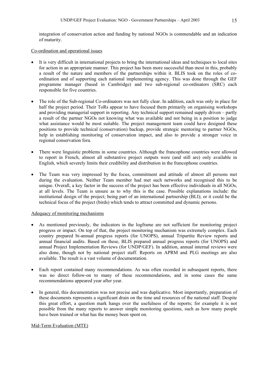integration of conservation action and funding by national NGOs is commendable and an indication of maturity.

Co-ordination and operational issues

- It is very difficult in international projects to bring the international ideas and techniques to local sites for action in an appropriate manner. This project has been more successful than most in this, probably a result of the nature and members of the partnerships within it. BLIS took on the roles of coordination and of supporting each national implementing agency. This was done through the GEF programme manager (based in Cambridge) and two sub-regional co-ordinators (SRC) each responsible for five countries.
- The role of the Sub-regional Co-ordinators was not fully clear. In addition, each was only in place for half the project period. Their ToRs appear to have focused them primarily on organising workshops and providing managerial support in reporting. Any technical support remained supply driven – partly a result of the partner NGOs not knowing what was available and not being in a position to judge what assistance would be most suitable. The project management team could have designed these positions to provide technical (conservation) backup, provide strategic mentoring to partner NGOs, help in establishing monitoring of conservation impact, and also to provide a stronger voice in regional conservation fora.
- There were linguistic problems in some countries. Although the francophone countries were allowed to report in French, almost all substantive project outputs were (and still are) only available in English, which severely limits their credibility and distribution in the francophone countries.
- The Team was very impressed by the focus, commitment and attitude of almost all persons met during the evaluation. Neither Team member had met such networks and recognised this to be unique. Overall, a key factor in the success of the project has been effective individuals in all NGOs, at all levels. The Team is unsure as to why this is the case. Possible explanations include: the institutional design of the project; being part of an international partnership (BLI); or it could be the technical focus of the project (birds) which tends to attract committed and dynamic persons.

### Adequacy of monitoring mechanisms

- As mentioned previously, the indicators in the logframe are not sufficient for monitoring project progress or impact. On top of that, the project monitoring mechanism was extremely complex. Each country prepared bi-annual progress reports (for UNOPS), annual Tripartite Review reports and annual financial audits. Based on these, BLIS prepared annual progress reports (for UNOPS) and annual Project Implementation Reviews (for UNDP/GEF). In addition, annual internal reviews were also done, though not by national project staff. Reports on APRM and PLG meetings are also available. The result is a vast volume of documentation.
- Each report contained many recommendations. As was often recorded in subsequent reports, there was no direct follow-on to many of these recommendations, and in some cases the same recommendations appeared year after year.
- In general, this documentation was not precise and was duplicative. Most importantly, preparation of these documents represents a significant drain on the time and resources of the national staff. Despite this great effort, a question mark hangs over the usefulness of the reports; for example it is not possible from the many reports to answer simple monitoring questions, such as how many people have been trained or what has the money been spent on.

### Mid-Term Evaluation (MTE)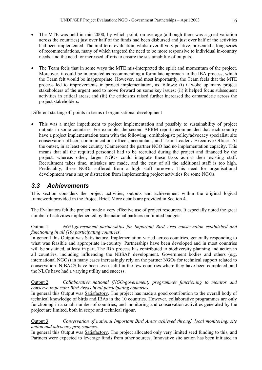- The MTE was held in mid 2000, by which point, on average (although there was a great variation across the countries) just over half of the funds had been disbursed and just over half of the activities had been implemented. The mid-term evaluation, whilst overall very positive, presented a long series of recommendations, many of which targeted the need to be more responsive to individual in-country needs, and the need for increased efforts to ensure the sustainability of outputs.
- The Team feels that in some ways the MTE mis-interpreted the spirit and momentum of the project. Moreover, it could be interpreted as recommending a formulaic approach to the IBA process, which the Team felt would be inappropriate. However, and most importantly, the Team feels that the MTE process led to improvements in project implementation, as follows: (i) it woke up many project stakeholders of the urgent need to move forward on some key issues; (ii) it helped focus subsequent activities in critical areas; and (iii) the criticisms raised further increased the camaraderie across the project stakeholders.

# Different starting-off points in terms of organisational development

• This was a major impediment to project implementation and possibly to sustainability of project outputs in some countries. For example, the second APRM report recommended that each country have a project implementation team with the following: ornithologist; policy/advocacy specialist; site conservation officer; communications officer; accountant; and Team Leader / Executive Officer. At the outset, in at least one country (Cameroon) the partner NGO had no implementation capacity. This means that all the required personnel had to be recruited during the project and financed by the project, whereas other, larger NGOs could integrate these tasks across their existing staff. Recruitment takes time, mistakes are made, and the cost of all the additional staff is too high. Predictably, these NGOs suffered from a high staff turnover. This need for organisational development was a major distraction from implementing project activities for some NGOs.

# *3.3 Achievements*

This section considers the project activities, outputs and achievement within the original logical framework provided in the Project Brief. More details are provided in Section 4.

The Evaluators felt the project made a very effective use of project resources. It especially noted the great number of activities implemented by the national partners on limited budgets.

# Output 1: *NGO-government partnerships for Important Bird Area conservation established and functioning in all (10) participating countries*.

In general this Output was Satisfactory. Implementation varied across countries, generally responding to what was feasible and appropriate in-country. Partnerships have been developed and in most countries will be sustained, at least in part. The IBA process has contributed to biodiversity planning and action in all countries, including influencing the NBSAP development. Government bodies and others (e.g. international NGOs) in many cases increasingly rely on the partner NGOs for technical support related to conservation. NIBACS have been less useful in the few countries where they have been completed, and the NLCs have had a varying utility and success.

# Output 2: *Collaborative national (NGO-government) programmes functioning to monitor and conserve Important Bird Areas in all participating countries*.

In general this Output was Satisfactory. The project has made a good contribution to the overall body of technical knowledge of birds and IBAs in the 10 countries. However, collaborative programmes are only functioning in a small number of countries, and monitoring and conservation activities generated by the project are limited, both in scope and technical rigour.

# Output 3: *Conservation of national Important Bird Areas achieved through local monitoring, site action and advocacy programmes*.

In general this Output was Satisfactory. The project allocated only very limited seed funding to this, and Partners were expected to leverage funds from other sources. Innovative site action has been initiated in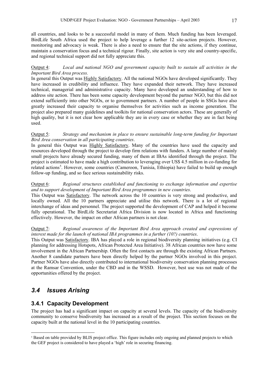all countries, and looks to be a successful model in many of them. Much funding has been leveraged. BirdLife South Africa used the project to help leverage a further 12 site-action projects. However, monitoring and advocacy is weak. There is also a need to ensure that the site actions, if they continue, maintain a conservation focus and a technical rigour. Finally, site action is very site and country-specific, and regional technical support did not fully appreciate this.

## Output 4: *Local and national NGO and government capacity built to sustain all activities in the Important Bird Area process.*

In general this Output was Highly Satisfactory. All the national NGOs have developed significantly. They have increased in credibility and influence. They have expanded their network. They have increased technical, managerial and administrative capacity. Many have developed an understanding of how to address site action. There has been some capacity development beyond the partner NGO, but this did not extend sufficiently into other NGOs, or to government partners. A number of people in SSGs have also greatly increased their capacity to organise themselves for activities such as income generation. The project also prepared many guidelines and toolkits for national conservation actors. These are generally of high quality, but it is not clear how applicable they are in every case or whether they are in fact being used.

### Output 5: *Strategy and mechanism in place to ensure sustainable long-term funding for Important Bird Area conservation in all participating countries*.

In general this Output was Highly Satisfactory. Many of the countries have used the capacity and resources developed through the project to develop firm relations with funders. A large number of mainly small projects have already secured funding, many of them at IBAs identified through the project. The project is estimated to have made a high contribution to leveraging over US\$ 4.5 million in co-funding for related actions<sup>[5](#page-17-0)</sup>. However, some countries (Cameroon, Tunisia, Ethiopia) have failed to build up enough follow-up funding, and so face serious sustainability risks.

# Output 6: *Regional structures established and functioning to exchange information and expertise and to support development of Important Bird Area programmes in new countries*.

This Output was **Satisfactory**. The network across the 10 countries is very strong and productive, and locally owned. All the 10 partners appreciate and utilise this network. There is a lot of regional interchange of ideas and personnel. The project supported the development of CAP and helped it become fully operational. The BirdLife Secretariat Africa Division is now located in Africa and functioning effectively. However, the impact on other African partners is not clear.

# Output 7: *Regional awareness of the Important Bird Area approach created and expressions of interest made for the launch of national IBA programmes in a further (10?) countries*.

This Output was Satisfactory. IBA has played a role in regional biodiversity planning initiatives (e.g. CI planning for addressing Hotspots, African Protected Area Initiative). 38 African countries now have some involvement in the African Partnership. Often the first contacts are through the existing African Partners. Another 8 candidate partners have been directly helped by the partner NGOs involved in this project. Partner NGOs have also directly contributed to international biodiversity conservation planning processes at the Ramsar Convention, under the CBD and in the WSSD. However, best use was not made of the opportunities offered by the project.

# *3.4 Issues Arising*

<u>.</u>

# **3.4.1 Capacity Development**

The project has had a significant impact on capacity at several levels. The capacity of the biodiversity community to conserve biodiversity has increased as a result of the project. This section focuses on the capacity built at the national level in the 10 participating countries.

<span id="page-17-0"></span><sup>&</sup>lt;sup>5</sup> Based on table provided by BLIS project office. This figure includes only ongoing and planned projects to which the GEF project is considered to have played a 'high' role in securing financing.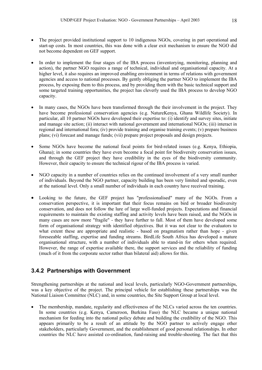- The project provided institutional support to 10 indigenous NGOs, covering in part operational and start-up costs. In most countries, this was done with a clear exit mechanism to ensure the NGO did not become dependent on GEF support.
- In order to implement the four stages of the IBA process (inventorying, monitoring, planning and action), the partner NGO requires a range of technical, individual and organisational capacity. At a higher level, it also requires an improved enabling environment in terms of relations with government agencies and access to national processes. By gently obliging the partner NGO to implement the IBA process, by exposing them to this process, and by providing them with the basic technical support and some targeted training opportunities, the project has cleverly used the IBA process to develop NGO capacity.
- In many cases, the NGOs have been transformed through the their involvement in the project. They have become professional conservation agencies (e.g. NatureKenya, Ghana Wildlife Society). In particular, all 10 partner NGOs have developed their expertise to: (i) identify and survey sites, initiate and manage site action; (ii) interact with national government and international NGOs; (iii) interact in regional and international fora; (iv) provide training and organise training events; (v) prepare business plans; (vi) forecast and manage funds; (vii) prepare project proposals and design projects.
- Some NGOs have become the national focal points for bird-related issues (e.g. Kenya, Ethiopia, Ghana); in some countries they have even become a focal point for biodiversity conservation issues, and through the GEF project they have credibility in the eyes of the biodiversity community. However, their capacity to ensure the technical rigour of the IBA process is varied.
- NGO capacity in a number of countries relies on the continued involvement of a very small number of individuals. Beyond the NGO partner, capacity building has been very limited and sporadic, even at the national level. Only a small number of individuals in each country have received training.
- Looking to the future, the GEF project has "professionalised" many of the NGOs. From a conservation perspective, it is important that their focus remains on bird or broader biodiversity conservation, and does not follow the lure of large well-funded projects. Expectations and financial requirements to maintain the existing staffing and activity levels have been raised, and the NGOs in many cases are now more "fragile" - they have further to fall. Most of them have developed some form of organisational strategy with identified objectives. But it was not clear to the evaluators to what extent these are appropriate and realistic - based on pragmatism rather than hope - given foreseeable staffing, expertise and funding streams. BirdLife South Africa has developed a mature organisational structure, with a number of individuals able to stand-in for others when required. However, the range of expertise available there, the support services and the reliability of funding (much of it from the corporate sector rather than bilateral aid) allows for this.

# **3.4.2 Partnerships with Government**

Strengthening partnerships at the national and local levels, particularly NGO-Government partnerships, was a key objective of the project. The principal vehicle for establishing these partnerships was the National Liaison Committee (NLC) and, in some countries, the Site Support Group at local level.

The membership, mandate, regularity and effectiveness of the NLCs varied across the ten countries. In some countries (e.g. Kenya, Cameroon, Burkina Faso) the NLC became a unique national mechanism for feeding into the national policy debate and building the credibility of the NGO. This appears primarily to be a result of an attitude by the NGO partner to actively engage other stakeholders, particularly Government, and the establishment of good personal relationships. In other countries the NLC have assisted co-ordination, fund-raising and trouble-shooting. The fact that this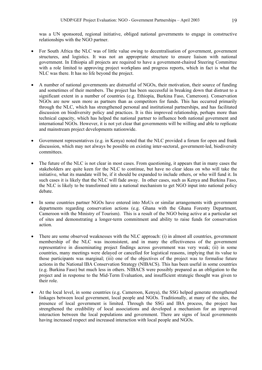was a UN sponsored, regional initiative, obliged national governments to engage in constructive relationships with the NGO partner.

- For South Africa the NLC was of little value owing to decentralisation of government, government structures, and logistics. It was not an appropriate structure to ensure liaison with national government. In Ethiopia all projects are required to have a government-chaired Steering Committee with a role limited to approving project workplans and progress reports, which in fact is what the NLC was there. It has no life beyond the project.
- A number of national governments are distrustful of NGOs, their motivation, their source of funding and sometimes of their members. The project has been successful in breaking down that distrust to a significant extent in a number of countries (e.g. Ethiopia, Burkina Faso, Cameroon). Conservation NGOs are now seen more as partners than as competitors for funds. This has occurred primarily through the NLC, which has strengthened personal and institutional partnerships, and has facilitated discussion on biodiversity policy and practices. It is this improved relationship, perhaps more than technical capacity, which has helped the national partner to influence both national government and international NGOs. However, it is not yet clear that governments will be willing and able to replicate and mainstream project developments nationwide.
- Government representatives (e.g. in Kenya) noted that the NLC provided a forum for open and frank discussion, which may not always be possible on existing inter-sectoral, government-led, biodiversity committees.
- The future of the NLC is not clear in most cases. From questioning, it appears that in many cases the stakeholders are quite keen for the NLC to continue, but have no clear ideas on who will take the initiative, what its mandate will be, if it should be expanded to include others, or who will fund it. In such cases it is likely that the NLC will fade away. In other cases, such as Kenya and Burkina Faso, the NLC is likely to be transformed into a national mechanism to get NGO input into national policy debate.
- In some countries partner NGOs have entered into MoUs or similar arrangements with government departments regarding conservation actions (e.g. Ghana with the Ghana Forestry Department, Cameroon with the Ministry of Tourism). This is a result of the NGO being active at a particular set of sites and demonstrating a longer-term commitment and ability to raise funds for conservation action.
- There are some observed weaknesses with the NLC approach: (i) in almost all countries, government membership of the NLC was inconsistent, and in many the effectiveness of the government representative in disseminating project findings across government was very weak; (ii) in some countries, many meetings were delayed or cancelled for logistical reasons, implying that its value to those participants was marginal; (iii) one of the objectives of the project was to formalise future actions in the National IBA Conservation Strategy (NIBACS). This has been useful in some countries (e.g. Burkina Faso) but much less in others. NIBACS were possibly prepared as an obligation to the project and in response to the Mid-Term Evaluation, and insufficient strategic thought was given to their role.
- At the local level, in some countries (e.g. Cameroon, Kenya), the SSG helped generate strengthened linkages between local government, local people and NGOs. Traditionally, at many of the sites, the presence of local government is limited. Through the SSG and IBA process, the project has strengthened the credibility of local associations and developed a mechanism for an improved interaction between the local populations and government. There are signs of local governments having increased respect and increased interaction with local people and NGOs.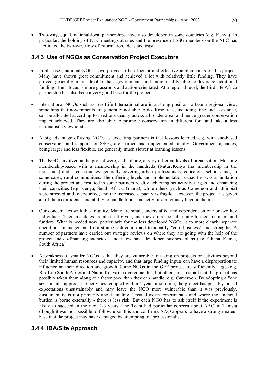• Two-way, equal, national-local partnerships have also developed in some countries (e.g. Kenya). In particular, the holding of NLC meetings at sites and the presence of SSG members on the NLC has facilitated the two-way flow of information, ideas and trust.

# **3.4.3 Use of NGOs as Conservation Project Executors**

- In all cases, national NGOs have proved to be efficient and effective implementers of this project. Many have shown great commitment and achieved a lot with relatively little funding. They have proved generally more flexible than governments and more readily able to leverage additional funding. Their focus is more grassroots and action-orientated. At a regional level, the BirdLife Africa partnership has also been a very good base for the project.
- International NGOs such as BirdLife International are in a strong position to take a regional view, something that governments are generally not able to do. Resources, including time and assistance, can be allocated according to need or capacity across a broader area, and hence greater conservation impact achieved. They are also able to promote conservation in different fora and take a less nationalistic viewpoint.
- A big advantage of using NGOs as executing partners is that lessons learned, e.g. with site-based conservation and support for SSGs, are learned and implemented rapidly. Government agencies, being larger and less flexible, are generally much slower at learning lessons.
- The NGOs involved in the project were, and still are, at very different levels of organisation. Most are membership-based with a membership in the hundreds (NatureKenya has membership in the thousands) and a constituency generally covering urban professionals, educators, schools and, in some cases, rural communities. The differing levels and implementation capacities was a limitation during the project and resulted in some partners readily achieving set activity targets and enhancing their capacities (e.g. Kenya, South Africa, Ghana), while others (such as Cameroon and Ethiopia) were stressed and overworked, and the increased capacity is fragile. However, the project has given all of them confidence and ability to handle funds and activities previously beyond them.
- Our concern lies with this fragility. Many are small, understaffed and dependent on one or two key individuals. Their mandates are also self-given, and they are responsible only to their members and funders. What is needed now, particularly for the less developed NGOs, is to more clearly separate operational management from strategic direction and to identify "core business" and strengths. A number of partners have carried out strategic reviews on where they are going with the help of the project and co-financing agencies , and a few have developed business plans (e.g. Ghana, Kenya, South Africa).
- A weakness of smaller NGOs is that they are vulnerable to taking on projects or activities beyond their limited human resources and capacity, and that large funding inputs can have a disproportionate influence on their direction and growth. Some NGOs in the GEF project are sufficiently large (e.g. BirdLife South Africa and NatureKenya) to overcome this, but others are so small that the project has possibly taken them along at a faster pace than they can handle, e.g. Cameroon. By adopting a "one size fits all" approach to activities, coupled with a 5 year time frame, the project has possibly raised expectations unsustainably and may leave the NGO more vulnerable than it was previously. Sustainability is not primarily about funding. Treated as an experiment - and where the financial burden is borne externally - there is less risk. But each NGO has to ask itself if the experiment is likely to succeed in the next 2-3 years. The Team had particular concern about AAO in Tunisia (though it was not possible to follow upon this and confirm). AAO appears to have a strong amateur base that the project may have damaged by attempting to "professionalise".

# **3.4.4 IBA/Site Approach**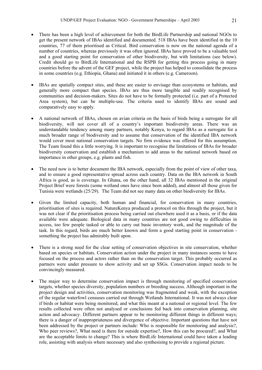- There has been a high level of achievement for both the BirdLife Partnership and national NGOs to get the present network of IBAs identified and documented. 518 IBAs have been identified in the 10 countries, 77 of them prioritised as Critical. Bird conservation is now on the national agenda of a number of countries, whereas previously it was often ignored. IBAs have proved to be a valuable tool and a good starting point for conservation of other biodiversity, but with limitations (see below). Credit should go to BirdLife International and the RSPB for getting this process going in many countries before the advent of the GEF project, while the project has helped to consolidate the process in some countries (e.g. Ethiopia, Ghana) and initiated it in others (e.g. Cameroon).
- IBAs are spatially compact sites, and these are easier to envisage than ecosystems or habitats, and generally more compact than species. IBAs are thus more tangible and readily recognised by communities and decision-makers. Sites do not have to be formally protected (i.e. part of a Protected Area system), but can be multiple-use. The criteria used to identify IBAs are sound and comparatively easy to apply.
- A national network of IBAs, chosen on avian criteria on the basis of birds being a surrogate for all biodiversity, will not cover all of a country's important biodiversity areas. There was an understandable tendency among many partners, notably Kenya, to regard IBAs as a surrogate for a much broader range of biodiversity and to assume that conservation of the identified IBA network would cover most national conservation targets. No firm evidence was offered for this assumption. The Team found this a little worrying. It is important to recognise the limitations of IBAs for broader biodiversity conservation and establish a mechanism to add areas to the national network based on importance in other groups, e.g. plants and fish.
- The need now is to better document the IBA network, especially from the point of view of other taxa, and to ensure a good representative spread across each country. Data on the IBA network in South Africa is good, as is coverage. In Ghana, on the other hand, all 32 IBAs mentioned in the original Project Brief were forests (some wetland ones have since been added), and almost all those given for Tunisia were wetlands (25/29). The Team did not see many data on other biodiversity for IBAs.
- Given the limited capacity, both human and financial, for conservation in many countries, prioritisation of sites is required. NatureKenya produced a protocol on this through the project, but it was not clear if the prioritisation process being carried out elsewhere used it as a basis, or if the data available were adequate. Biological data in many countries are not good owing to difficulties in access, too few people tasked or able to carry out basic inventory work, and the magnitude of the task. In this regard, birds are much better known and form a good starting point in conservation something the project has admirably built upon.
- There is a strong need for the clear setting of conservation objectives in site conservation, whether based on species or habitats. Conservation action under the project in many instances seems to have focused on the process and actors rather than on the conservation target. This probably occurred as partners were under pressure to show activity and set up SSGs. Conservation impact needs to be convincingly measured.
- The major way to determine conservation impact is through monitoring of specified conservation targets, whether species diversity, population numbers or breeding success. Although important in the project design and activities, conservation monitoring was fragmented and weak, with the exception of the regular waterfowl censuses carried out through Wetlands International. It was not always clear if birds or habitat were being monitored, and what this meant at a national or regional level. The few results collected were often not analysed or conclusions fed back into conservation planning, site action and advocacy. Different partners appear to be monitoring different things in different ways; there is a danger of inappropriateness and divergence of objective. Important questions that have not been addressed by the project or partners include: Who is responsible for monitoring and analysis?, Who peer reviews?, What need is there for outside expertise?, How this can be procured?, and What are the acceptable limits to change? This is where BirdLife International could have taken a leading role, assisting with analysis where necessary and also synthesising to provide a regional picture.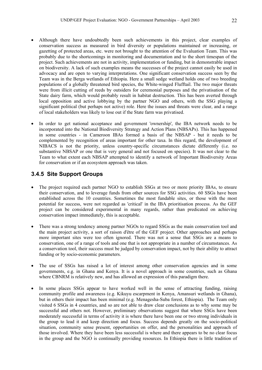- Although there have undoubtedly been such achievements in this project, clear examples of conservation success as measured in bird diversity or populations maintained or increasing, or gazetting of protected areas, etc. were not brought to the attention of the Evaluation Team. This was probably due to the shortcomings in monitoring and documentation and to the short timespan of the project. Such achievements are not in activity, implementation or funding, but in demonstrable impact on biodiversity. A lack of such examples means the successes of the project cannot easily be used in advocacy and are open to varying interpretations. One significant conservation success seen by the Team was in the Berga wetlands of Ethiopia. Here a small sedge wetland holds one of two breeding populations of a globally threatened bird species, the White-winged Flufftail. The two major threats were from illicit cutting of reeds by outsiders for ceremonial purposes and the privatisation of the State dairy farm, which would probably result in habitat destruction. This has been averted through local opposition and active lobbying by the partner NGO and others, with the SSG playing a significant political (but perhaps not active) role. Here the issues and threats were clear, and a range of local stakeholders was likely to lose out if the State farm was privatised.
- In order to get national acceptance and government 'ownership', the IBA network needs to be incorporated into the National Biodiversity Strategy and Action Plans (NBSAPs). This has happened in some countries - in Cameroon IBAs formed a basis of the NBSAP - but it needs to be complemented by recognition of areas important for other taxa. In this regard, the development of NIBACS is not the priority, unless country-specific circumstances dictate differently (i.e. no substantive NBSAP or one that is very general and not focused on species). It was not clear to the Team to what extent each NBSAP attempted to identify a network of Important Biodiversity Areas for conservation or if an ecosystem approach was taken.

# **3.4.5 Site Support Groups**

- The project required each partner NGO to establish SSGs at two or more priority IBAs, to ensure their conservation, and to leverage funds from other sources for SSG activities. 60 SSGs have been established across the 10 countries. Sometimes the most fundable sites, or those with the most potential for success, were not regarded as 'critical' in the IBA prioritisation process. As the GEF project can be considered experimental in many regards, rather than predicated on achieving conservation impact immediately, this is acceptable.
- There was a strong tendency among partner NGOs to regard SSGs as the main conservation tool and the main project activity, a sort of raison d'être of the GEF project. Other approaches and perhaps more important sites were too often ignored. There was not a sense that SSGs are a means to conservation, one of a range of tools and one that is not appropriate in a number of circumstances. As a conservation tool, their success must be judged by conservation impact, not by their ability to attract funding or by socio-economic parameters.
- The use of SSGs has raised a lot of interest among other conservation agencies and in some governments, e.g. in Ghana and Kenya. It is a novel approach in some countries, such as Ghana where CBNRM is relatively new, and has allowed an expression of this paradigm there.
- In some places SSGs appear to have worked well in the sense of attracting funding, raising community profile and awareness (e.g. Kikuyu escarpment in Kenya, Amansuri wetlands in Ghana), but in others their impact has been minimal (e.g. Menagesha-Suba forest, Ethiopia). The Team only visited 6 SSGs in 4 countries, and so are not able to draw clear conclusions as to why some may be successful and others not. However, preliminary observations suggest that where SSGs have been moderately successful in terms of activity it is where there have been one or two strong individuals in the group to lead it and keep direction and focus. Success depends greatly on the socio-political situation, community sense present, opportunities on offer, and the personalities and approach of those involved. Where they have been less successful is where and there appears to be no clear focus in the group and the NGO is continually providing resources. In Ethiopia there is little tradition of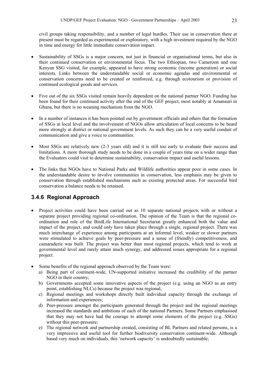civil groups taking responsibility, and a number of legal hurdles. Their use in conservation there at present must be regarded as experimental or exploratory, with a high investment required by the NGO in time and energy for little immediate conservation impact.

- Sustainability of SSGs is a major concern, not just in financial or organisational terms, but also in their continued conservation or environmental focus. The two Ethiopian, two Cameroon and one Kenyan SSG visited, for example, appeared to have strong economic (income generation) or social interests. Links between the understandable social or economic agendas and environmental or conservation concerns need to be created or reinforced, e.g. through ecotourism or provision of continued ecological goods and services.
- Five out of the six SSGs visited remain heavily dependent on the national partner NGO. Funding has been found for their continued activity after the end of the GEF project, most notably at Amansuri in Ghana, but there is no weaning mechanism from the NGO.
- In a number of instances it has been pointed out by government officials and others that the formation of SSGs at local level and the involvement of NGOs allow articulation of local concerns to be heard more strongly at district or national government levels. As such they can be a very useful conduit of communication and give a voice to communities.
- Most SSGs are relatively new (2-3 years old) and it is still too early to evaluate their success and limitations. A more thorough study needs to be done in a couple of years time on a wider range than the Evaluators could visit to determine sustainability, conservation impact and useful lessons.
- The links that NGOs have to National Parks and Wildlife authorities appear poor in some cases. In the understandable desire to involve communities in conservation, less emphasis may be given to conservation through established mechanisms such as existing protected areas. For successful bird conservation a balance needs to be retained.

# **3.4.6 Regional Approach**

- Project activities could have been carried out as 10 separate national projects with or without a separate project providing regional co-ordination. The opinion of the Team is that the regional coordination and role of the BirdLife International Secretariat greatly enhanced both the value and impact of the project, and could only have taken place through a single, regional project. There was much interchange of experience among participants at an informal level, weaker or slower partners were stimulated to achieve goals by peer-pressure and a sense of (friendly) competitiveness, and camaraderie was built. The project was better than most regional projects, which tend to work at governmental level and rarely attain much synergy, and addressed issues appropriate for a regional project.
- Some benefits of the regional approach observed by the Team were:
	- a) Being part of continent-wide, UN-supported initiative increased the credibility of the partner NGO in their country;
	- b) Governments accepted some innovative aspects of the project (e.g. using an NGO as an entry point, establishing NLCs) because the project was regional,
	- c) Regional meetings and workshops directly built individual capacity through the exchange of information and experiences;
	- d) Peer-pressure amongst the participants generated through the project and the regional meetings increased the standards and ambitions of each of the national Partners. Some Partners emphasised that they may not have had the courage to attempt some elements of the project (e.g. SSGs) without this peer-pressure;
	- e) The regional network and partnership created, consisting of BL Partners and related persons, is a very impressive and useful tool for further biodiversity conservation continent-wide. Although based very much on individuals, this 'network capacity' is undoubtedly sustainable;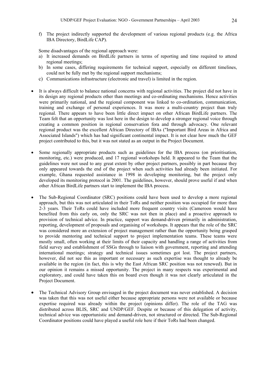f) The project indirectly supported the development of various regional products (e.g. the Africa IBA Directory, BirdLife CAP).

Some disadvantages of the regional approach were:

- a) It increased demands on BirdLife partners in terms of reporting and time required to attend regional meetings;
- b) In some cases, differing requirements for technical support, especially on different timelines, could not be fully met by the regional support mechanisms;
- c) Communications infrastructure (electronic and travel) is limited in the region.
- It is always difficult to balance national concerns with regional activities. The project did not have in its design any regional products other than meetings and co-ordinating mechanisms. Hence activities were primarily national, and the regional component was linked to co-ordination, communication, training and exchange of personal experiences. It was more a multi-country project than truly regional. There appears to have been little direct impact on other African BirdLife partners. The Team felt that an opportunity was lost here in the design to develop a stronger regional voice through creating a common position in regional conservation fora and through advocacy. One relevant regional product was the excellent African Directory of IBAs ("Important Bird Areas in Africa and Associated Islands") which has had significant continental impact. It is not clear how much the GEF project contributed to this, but it was not stated as an output in the Project Document.
- Some regionally appropriate products such as guidelines for the IBA process (on prioritisation, monitoring, etc.) were produced, and 17 regional workshops held. It appeared to the Team that the guidelines were not used to any great extent by other project partners, possibly in part because they only appeared towards the end of the project when such activities had already been initiated. For example, Ghana requested assistance in 1998 in developing monitoring, but the project only developed its monitoring protocol in 2001. The guidelines, however, should prove useful if and when other African BirdLife partners start to implement the IBA process.
- The Sub-Regional Coordinator (SRC) positions could have been used to develop a more regional approach, but this was not articulated in their ToRs and neither position was occupied for more than 2-3 years. Their ToRs could have included more frequent country visits (Cameroon would have benefited from this early on, only the SRC was not then in place) and a proactive approach to provision of technical advice. In practice, support was demand-driven primarily in administration, reporting, development of proposals and organising of workshops. It appears that the role of the SRC was considered more an extension of project management rather than the opportunity being grasped to provide mentoring and technical support to project implementation teams. These teams were mostly small, often working at their limits of their capacity and handling a range of activities from field survey and establishment of SSGs through to liaison with government, reporting and attending international meetings; strategy and technical issues sometimes got lost. The project partners, however, did not see this as important or necessary as such expertise was thought to already be available in the region (in fact, this is why the East African SRC position was not renewed). But in our opinion it remains a missed opportunity. The project in many respects was experimental and exploratory, and could have taken this on board even though it was not clearly articulated in the Project Document.
- The Technical Advisory Group envisaged in the project document was never established. A decision was taken that this was not useful either because appropriate persons were not available or because expertise required was already within the project (opinions differ). The role of the TAG was distributed across BLIS, SRC and UNDP/GEF. Despite or because of this delegation of activity, technical advice was opportunistic and demand-driven, not structured or directed. The Sub-Regional Coordinator positions could have played a useful role here if their ToRs had been changed.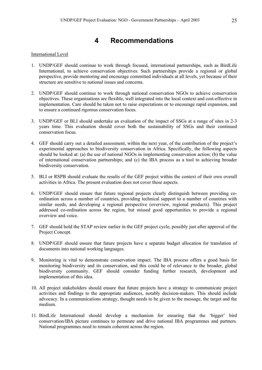# **4 Recommendations**

### International Level

- 1. UNDP/GEF should continue to work through focused, international partnerships, such as BirdLife International, to achieve conservation objectives. Such partnerships provide a regional or global perspective, provide mentoring and encourage committed individuals at all levels, yet because of their structure are sensitive to national issues and concerns.
- 2. UNDP/GEF should continue to work through national conservation NGOs to achieve conservation objectives. These organisations are flexible, well integrated into the local context and cost-effective in implementation. Care should be taken not to raise expectations or to encourage rapid expansion, and to ensure a continued rigorous conservation focus.
- 3. UNDP/GEF or BLI should undertake an evaluation of the impact of SSGs at a range of sites in 2-3 years time. This evaluation should cover both the sustainability of SSGs and their continued conservation focus.
- 4. GEF should carry out a detailed assessment, within the next year, of the contribution of the project's experimental approaches to biodiversity conservation in Africa. Specifically, the following aspects should be looked at: (a) the use of national NGOs in implementing conservation action; (b) the value of international conservation partnerships; and (c) the IBA process as a tool to achieving broader biodiversity conservation.
- 5. BLI or RSPB should evaluate the results of the GEF project within the context of their own overall activities in Africa. The present evaluation does not cover these aspects.
- 6. UNDP/GEF should ensure that future regional projects clearly distinguish between providing coordination across a number of countries, providing technical support to a number of countries with similar needs, and developing a regional perspective (overview, regional products). This project addressed co-ordination across the region, but missed good opportunities to provide a regional overview and voice.
- 7. GEF should hold the STAP review earlier in the GEF project cycle, possibly just after approval of the Project Concept.
- 8. UNDP/GEF should ensure that future projects have a separate budget allocation for translation of documents into national working languages.
- 9. Monitoring is vital to demonstrate conservation impact. The IBA process offers a good basis for monitoring biodiversity and its conservation, and this could be of relevance to the broader, global biodiversity community. GEF should consider funding further research, development and implementation of this idea.
- 10. All project stakeholders should ensure that future projects have a strategy to communicate project activities and findings to the appropriate audiences, notably decision-makers. This should include advocacy. In a communications strategy, thought needs to be given to the message, the target and the medium.
- 11. BirdLife International should develop a mechanism for ensuring that the 'bigger' bird conservation/IBA picture continues to permeate and drive national IBA programmes and partners. National programmes need to remain coherent across the region.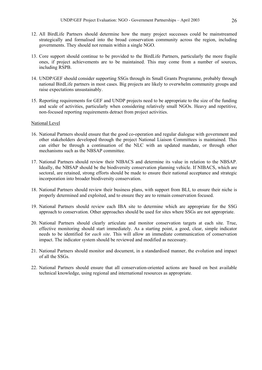- 12. All BirdLife Partners should determine how the many project successes could be mainstreamed strategically and formalised into the broad conservation community across the region, including governments. They should not remain within a single NGO.
- 13. Core support should continue to be provided to the BirdLife Partners, particularly the more fragile ones, if project achievements are to be maintained. This may come from a number of sources, including RSPB.
- 14. UNDP/GEF should consider supporting SSGs through its Small Grants Programme, probably through national BirdLife partners in most cases. Big projects are likely to overwhelm community groups and raise expectations unsustainably.
- 15. Reporting requirements for GEF and UNDP projects need to be appropriate to the size of the funding and scale of activities, particularly when considering relatively small NGOs. Heavy and repetitive, non-focused reporting requirements detract from project activities.

#### National Level

- 16. National Partners should ensure that the good co-operation and regular dialogue with government and other stakeholders developed through the project National Liaison Committees is maintained. This can either be through a continuation of the NLC with an updated mandate, or through other mechanisms such as the NBSAP committee.
- 17. National Partners should review their NIBACS and determine its value in relation to the NBSAP. Ideally, the NBSAP should be the biodiversity conservation planning vehicle. If NIBACS, which are sectoral, are retained, strong efforts should be made to ensure their national acceptance and strategic incorporation into broader biodiversity conservation.
- 18. National Partners should review their business plans, with support from BLI, to ensure their niche is properly determined and exploited, and to ensure they are to remain conservation focused.
- 19. National Partners should review each IBA site to determine which are appropriate for the SSG approach to conservation. Other approaches should be used for sites where SSGs are not appropriate.
- 20. National Partners should clearly articulate and monitor conservation targets at each site. True, effective monitoring should start immediately. As a starting point, a good, clear, simple indicator needs to be identified for *each site*. This will allow an immediate communication of conservation impact. The indicator system should be reviewed and modified as necessary.
- 21. National Partners should monitor and document, in a standardised manner, the evolution and impact of all the SSGs.
- 22. National Partners should ensure that all conservation-oriented actions are based on best available technical knowledge, using regional and international resources as appropriate.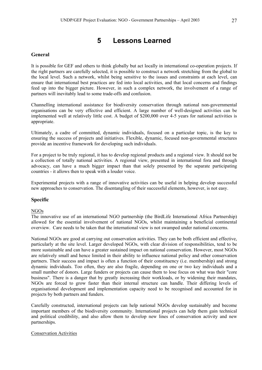# **5 Lessons Learned**

# **General**

It is possible for GEF and others to think globally but act locally in international co-operation projects. If the right partners are carefully selected, it is possible to construct a network stretching from the global to the local level. Such a network, whilst being sensitive to the issues and constraints at each level, can ensure that international best practices are fed into local activities, and that local concerns and findings feed up into the bigger picture. However, in such a complex network, the involvement of a range of partners will inevitably lead to some trade-offs and confusion.

Channelling international assistance for biodiversity conservation through national non-governmental organisations can be very effective and efficient. A large number of well-designed activities can be implemented well at relatively little cost. A budget of \$200,000 over 4-5 years for national activities is appropriate.

Ultimately, a cadre of committed, dynamic individuals, focused on a particular topic, is the key to ensuring the success of projects and initiatives. Flexible, dynamic, focused non-governmental structures provide an incentive framework for developing such individuals.

For a project to be truly regional, it has to develop regional products and a regional view. It should not be a collection of totally national activities. A regional view, presented in international fora and through advocacy, can have a much bigger impact than that solely presented by the separate participating countries - it allows then to speak with a louder voice.

Experimental projects with a range of innovative activities can be useful in helping develop successful new approaches to conservation. The disentangling of their successful elements, however, is not easy.

# **Specific**

### NGOs

The innovative use of an international NGO partnership (the BirdLife International Africa Partnership) allowed for the essential involvement of national NGOs, whilst maintaining a beneficial continental overview. Care needs to be taken that the international view is not swamped under national concerns.

National NGOs are good at carrying out conservation activities. They can be both efficient and effective, particularly at the site level. Larger developed NGOs, with clear division of responsibilities, tend to be more sustainable and can have a greater sustained impact on national conservation. However, most NGOs are relatively small and hence limited in their ability to influence national policy and other conservation partners. Their success and impact is often a function of their constituency (i.e. membership) and strong dynamic individuals. Too often, they are also fragile, depending on one or two key individuals and a small number of donors. Large funders or projects can cause them to lose focus on what was their "core business". There is a danger that by greatly increasing their workloads, or by widening their mandates, NGOs are forced to grow faster than their internal structure can handle. Their differing levels of organisational development and implementation capacity need to be recognised and accounted for in projects by both partners and funders.

Carefully constructed, international projects can help national NGOs develop sustainably and become important members of the biodiversity community. International projects can help them gain technical and political credibility, and also allow them to develop new lines of conservation activity and new partnerships.

### Conservation Activities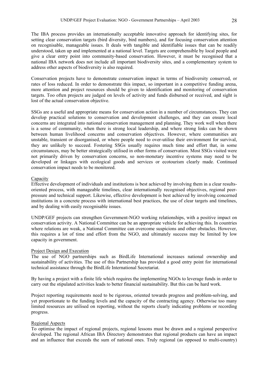The IBA process provides an internationally acceptable innovative approach for identifying sites, for setting clear conservation targets (bird diversity, bird numbers), and for focusing conservation attention on recognisable, manageable issues. It deals with tangible and identifiable issues that can be readily understood, taken up and implemented at a national level. Targets are comprehensible by local people and give a clear entry point into community-based conservation. However, it must be recognised that a national IBA network does not include all important biodiversity sites, and a complementary system to address other aspects of biodiversity is also required.

Conservation projects have to demonstrate conservation impact in terms of biodiversity conserved, or rates of loss reduced. In order to demonstrate this impact, so important in a competitive funding arena, more attention and project resources should be given to identification and monitoring of conservation targets. Too often projects are judged on levels of activity and funds disbursed or received, and sight is lost of the actual conservation objective.

SSGs are a useful and appropriate means for conservation action in a number of circumstances. They can develop practical solutions to conservation and development challenges, and they can ensure local concerns are integrated into national conservation management and planning. They work well when there is a sense of community, when there is strong local leadership, and where strong links can be shown between human livelihood concerns and conservation objectives. However, where communities are unstable, transient or disorganised, or where people need to over-utilise their environment for survival, they are unlikely to succeed. Fostering SSGs usually requires much time and effort that, in some circumstances, may be better strategically utilised in other forms of conservation. Most SSGs visited were not primarily driven by conservation concerns, so non-monetary incentive systems may need to be developed or linkages with ecological goods and services or ecotourism clearly made. Continued conservation impact needs to be monitored.

### Capacity

Effective development of individuals and institutions is best achieved by involving them in a clear resultsoriented process, with manageable timelines, clear internationally recognised objectives, regional peerpressure and technical support. Likewise, effective development is best achieved by involving concerned institutions in a concrete process with international best practices, the use of clear targets and timelines, and by dealing with easily recognisable issues.

UNDP/GEF projects can strengthen Government-NGO working relationships, with a positive impact on conservation activity. A National Committee can be an appropriate vehicle for achieving this. In countries where relations are weak, a National Committee can overcome suspicions and other obstacles. However, this requires a lot of time and effort from the NGO, and ultimately success may be limited by low capacity in government.

### Project Design and Execution

The use of NGO partnerships such as BirdLife International increases national ownership and sustainability of activities. The use of this Partnership has provided a good entry point for international technical assistance through the BirdLife International Secretariat.

By having a project with a finite life which requires the implementing NGOs to leverage funds in order to carry out the stipulated activities leads to better financial sustainability. But this can be hard work.

Project reporting requirements need to be rigorous, oriented towards progress and problem-solving, and yet proportionate to the funding levels and the capacity of the contracting agency. Otherwise too many limited resources are utilised on reporting, without the reports clearly indicating problems or recording progress.

### Regional Aspects

To optimise the impact of regional projects, regional lessons must be drawn and a regional perspective developed. The regional African IBA Directory demonstrates that regional products can have an impact and an influence that exceeds the sum of national ones. Truly regional (as opposed to multi-country)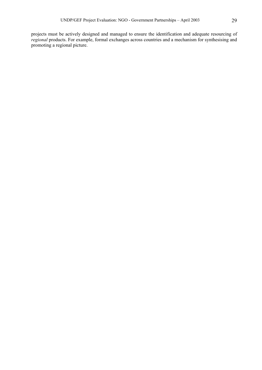projects must be actively designed and managed to ensure the identification and adequate resourcing of *regional* products. For example, formal exchanges across countries and a mechanism for synthesising and promoting a regional picture.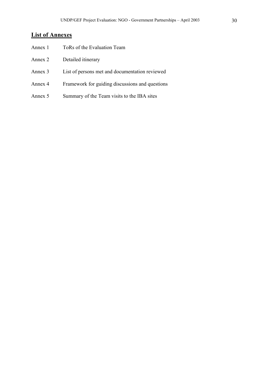# **List of Annexes**

| Annex 1 | ToRs of the Evaluation Team                     |
|---------|-------------------------------------------------|
| Annex 2 | Detailed itinerary                              |
| Annex 3 | List of persons met and documentation reviewed  |
| Annex 4 | Framework for guiding discussions and questions |
| Annex 5 | Summary of the Team visits to the IBA sites     |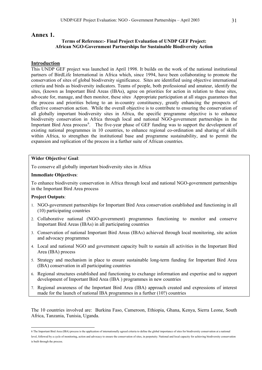### **Annex 1.**

## **Terms of Reference:- Final Project Evaluation of UNDP GEF Project: African NGO-Government Partnerships for Sustainable Biodiversity Action**

### **Introduction**

This UNDP GEF project was launched in April 1998. It builds on the work of the national institutional partners of BirdLife International in Africa which, since 1994, have been collaborating to promote the conservation of sites of global biodiversity significance. Sites are identified using objective international criteria and birds as biodiversity indicators. Teams of people, both professional and amateur, identify the sites, (known as Important Bird Areas (IBAs), agree on priorities for action in relation to these sites, advocate for, manage, and then monitor, these sites. Appropriate participation at all stages guarantees that the process and priorities belong to an in-country constituency, greatly enhancing the prospects of effective conservation action. While the overall objective is to contribute to ensuring the conservation of all globally important biodiversity sites in Africa, the specific programme objective is to enhance biodiversity conservation in Africa through local and national NGO-government partnerships in the Important Bird Area process<sup>[6](#page-31-0)</sup>. The five-year phase of GEF funding was to support the development of existing national programmes in 10 countries, to enhance regional co-ordination and sharing of skills within Africa, to strengthen the institutional base and programme sustainability, and to permit the expansion and replication of the process in a further suite of African countries.

### **Wider Objective/ Goal**:

To conserve all globally important biodiversity sites in Africa

### **Immediate Objectives**:

To enhance biodiversity conservation in Africa through local and national NGO-government partnerships in the Important Bird Area process

### **Project Outputs**:

-

- 1. NGO-government partnerships for Important Bird Area conservation established and functioning in all (10) participating countries
- 2. Collaborative national (NGO-government) programmes functioning to monitor and conserve Important Bird Areas (IBAs) in all participating countries
- 3. Conservation of national Important Bird Areas (IBAs) achieved through local monitoring, site action and advocacy programmes
- 4. Local and national NGO and government capacity built to sustain all activities in the Important Bird Area (IBA) process
- 5. Strategy and mechanism in place to ensure sustainable long-term funding for Important Bird Area (IBA) conservation in all participating countries
- 6. Regional structures established and functioning to exchange information and expertise and to support development of Important Bird Area (IBA ) programmes in new countries
- 7. Regional awareness of the Important Bird Area (IBA) approach created and expressions of interest made for the launch of national IBA programmes in a further (10?) countries

The 10 countries involved are: Burkina Faso, Cameroon, Ethiopia, Ghana, Kenya, Sierra Leone, South Africa, Tanzania, Tunisia, Uganda.

<span id="page-31-0"></span><sup>6</sup> The Important Bird Area (IBA) process is the application of internationally agreed criteria to define the global importance of sites for biodiversity conservation at a national level, followed by a cycle of monitoring, action and advocacy to ensure the conservation of sites, in perpetuity. National and local capacity for achieving biodiversity conservation is built through the process.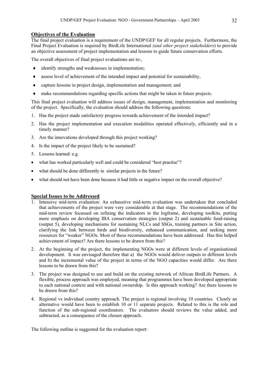### **Objectives of the Evaluation**

The final project evaluation is a requirement of the UNDP/GEF for all regular projects. Furthermore, the Final Project Evaluation is required by BirdLife International *(and other project stakeholders*) to provide an objective assessment of project implementation and lessons to guide future conservation efforts.

The overall objectives of final project evaluations are to:,

- ♦ identify strengths and weaknesses in implementation;
- $\bullet$  assess level of achievement of the intended impact and potential for sustainability,
- ♦ capture lessons in project design, implementation and management; and
- ♦ make recommendations regarding specific actions that might be taken in future projects.

This final project evaluation will address issues of design, management, implementation and monitoring of the project. Specifically, the evaluation should address the following questions:

- 1. Has the project made satisfactory progress towards achievement of the intended impact?
- 2. Has the project implementation and execution modalities operated effectively, efficiently and in a timely manner?
- 3. Are the innovations developed through this project working?
- 4. Is the impact of the project likely to be sustained?
- 5. Lessons learned: e.g.
- what has worked particularly well and could be considered "best practise"?
- what should be done differently in similar projects in the future?
- what should not have been done because it had little or negative impact on the overall objective?

# **Special Issues to be Addressed**

- 1. Intensive mid-term evaluation: An exhaustive mid-term evaluation was undertaken that concluded that achievements of the project were very considerable at that stage. The recommendations of the mid-term review focussed on refining the indicators in the logframe, developing toolkits, putting more emphasis on developing IBA conservation strategies (output 2) and sustainable fund-raising (output 5), developing mechanisms for sustaining NLCs and SSGs, training partners in Site action, clarifying the link between birds and biodiversity, enhanced communication, and seeking more resources for "weaker" NGOs. Most of these recommendations have been addressed. Has this helped achievement of impact? Are there lessons to be drawn from this?
- 2. At the beginning of the project, the implementing NGOs were at different levels of organisational development. It was envisaged therefore that a) the NGOs would deliver outputs to different levels and b) the incremental value of the project in terms of the NGO capacities would differ. Are there lessons to be drawn from this?
- 3. The project was designed to use and build on the existing network of African BirdLife Partners. A flexible, process approach was employed, meaning that programmes have been developed appropriate to each national context and with national ownership. Is this approach working? Are there lessons to be drawn from this?
- 4. Regional vs individual country approach. The project is regional involving 10 countries. Clearly an alternative would have been to establish 10 or 11 separate projects. Related to this is the role and function of the sub-regional coordinators. The evaluators should reviews the value added, and subtracted, as a consequence of the chosen approach.

The following outline is suggested for the evaluation report: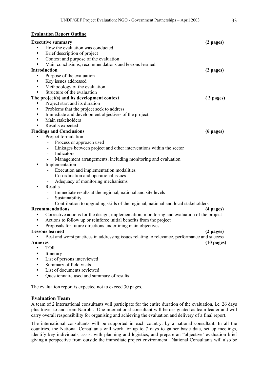# **Evaluation Report Outline**

| <b>Executive summary</b>                                                                         | $(2$ pages)          |
|--------------------------------------------------------------------------------------------------|----------------------|
| How the evaluation was conducted                                                                 |                      |
| Brief description of project<br>$\blacksquare$                                                   |                      |
| Context and purpose of the evaluation<br>٠                                                       |                      |
| Main conclusions, recommendations and lessons learned<br>٠                                       |                      |
| <b>Introduction</b>                                                                              | $(2$ pages)          |
| Purpose of the evaluation<br>٠                                                                   |                      |
| Key issues addressed<br>٠                                                                        |                      |
| Methodology of the evaluation<br>٠                                                               |                      |
| Structure of the evaluation<br>٠                                                                 |                      |
| The project(s) and its development context                                                       | $(3$ pages)          |
| Project start and its duration<br>٠                                                              |                      |
| Problems that the project seek to address<br>٠                                                   |                      |
| Immediate and development objectives of the project<br>٠                                         |                      |
| Main stakeholders<br>٠                                                                           |                      |
| Results expected                                                                                 |                      |
| <b>Findings and Conclusions</b>                                                                  | $(6$ pages)          |
| Project formulation<br>٠                                                                         |                      |
| Process or approach used                                                                         |                      |
| Linkages between project and other interventions within the sector                               |                      |
| Indicators                                                                                       |                      |
| Management arrangements, including monitoring and evaluation                                     |                      |
| Implementation<br>п                                                                              |                      |
| Execution and implementation modalities                                                          |                      |
| Co-ordination and operational issues                                                             |                      |
| Adequacy of monitoring mechanisms                                                                |                      |
| Results                                                                                          |                      |
| Immediate results at the regional, national and site levels                                      |                      |
| Sustainability                                                                                   |                      |
| Contribution to upgrading skills of the regional, national and local stakeholders                |                      |
| <b>Recommendations</b>                                                                           | (4 pages)            |
| Corrective actions for the design, implementation, monitoring and evaluation of the project<br>٠ |                      |
| Actions to follow up or reinforce initial benefits from the project<br>٠                         |                      |
| Proposals for future directions underlining main objectives                                      |                      |
| <b>Lessons learned</b>                                                                           | $(2 \text{ pages})$  |
| Best and worst practices in addressing issues relating to relevance, performance and success     |                      |
| <b>Annexes</b>                                                                                   | $(10 \text{ pages})$ |
| <b>TOR</b><br>٠                                                                                  |                      |
|                                                                                                  |                      |

- **Itinerary**
- List of persons interviewed
- Summary of field visits
- List of documents reviewed
- **•** Questionnaire used and summary of results

The evaluation report is expected not to exceed 30 pages.

# **Evaluation Team**

A team of 2 international consultants will participate for the entire duration of the evaluation, i.e. 26 days plus travel to and from Nairobi. One international consultant will be designated as team leader and will carry overall responsibility for organising and achieving the evaluation and delivery of a final report.

The international consultants will be supported in each country, by a national consultant. In all the countries, the National Consultants will work for up to 7 days to gather basic data, set up meetings, identify key individuals, assist with planning and logistics, and prepare an "objective' evaluation brief giving a perspective from outside the immediate project environment. National Consultants will also be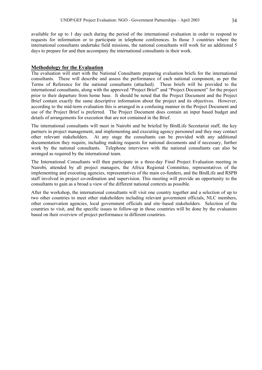available for up to 1 day each during the period of the international evaluation in order to respond to requests for information or to participate in telephone conferences. In those 3 countries where the international consultants undertake field missions, the national consultants will work for an additional 5 days to prepare for and then accompany the international consultants in their work.

### **Methodology for the Evaluation**

The evaluation will start with the National Consultants preparing evaluation briefs for the international consultants. These will describe and assess the performance of each national component, as per the Terms of Reference for the national consultants (attached). These briefs will be provided to the international consultants, along with the approved "Project Brief" and "Project Document" for the project prior to their departure from home base. It should be noted that the Project Document and the Project Brief contain exactly the same descriptive information about the project and its objectives. However, according to the mid-term evaluation this is arranged in a confusing manner in the Project Document and use of the Project Brief is preferred. The Project Document does contain an input based budget and details of arrangements for execution that are not contained in the Brief.

The international consultants will meet in Nairobi and be briefed by BirdLife Secretariat staff, the key partners in project management, and implementing and executing agency personnel and they may contact other relevant stakeholders. At any stage the consultants can be provided with any additional documentation they require, including making requests for national documents and if necessary, further work by the national consultants. Telephone interviews with the national consultants can also be arranged as required by the international team.

The International Consultants will then participate in a three-day Final Project Evaluation meeting in Nairobi, attended by all project managers, the Africa Regional Committee, representatives of the implementing and executing agencies, representatives of the main co-funders, and the BirdLife and RSPB staff involved in project co-ordination and supervision. This meeting will provide an opportunity to the consultants to gain as a broad a view of the different national contexts as possible.

After the workshop, the international consultants will visit one country together and a selection of up to two other countries to meet other stakeholders including relevant government officials, NLC members, other conservation agencies, local government officials and site–based stakeholders. Selection of the countries to visit, and the specific issues to follow-up in those countries will be done by the evaluators based on their overview of project performance in different countries.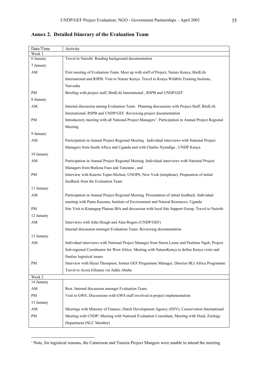| Date/Time              | Activity                                                                                                        |
|------------------------|-----------------------------------------------------------------------------------------------------------------|
| Week 1<br>6 January    | Travel to Nairobi. Reading background documentation                                                             |
|                        |                                                                                                                 |
| 7 January              |                                                                                                                 |
| $\mathbf{A}\mathbf{M}$ | First meeting of Evaluation Team. Meet up with staff of Project, Nature Kenya, BirdLife                         |
|                        | International and RSPB. Visit to Nature Kenya. Travel to Kenya Wildlife Training Institute,<br>Naivasha         |
| PM                     | Briefing with project staff, BirdLife International, RSPB and UNDP/GEF                                          |
| 8 January              |                                                                                                                 |
| AM                     | Internal discussion among Evaluation Team. Planning discussions with Project Staff, BirdLife                    |
|                        | International, RSPB and UNDP/GEF. Reviewing project documentation                                               |
| PM                     | Introductory meeting with all National Project Managers <sup>7</sup> . Participation in Annual Project Regional |
|                        | Meeting                                                                                                         |
| 9 January              |                                                                                                                 |
| AM                     | Participation in Annual Project Regional Meeting . Individual interviews with National Project                  |
|                        | Managers from South Africa and Uganda and with Charles Nyandiga, UNDP Kenya.                                    |
| 10 January             |                                                                                                                 |
| AM                     | Participation in Annual Project Regional Meeting .Individual interviews with National Project                   |
|                        | Managers from Burkina Faso and Tanzania, and                                                                    |
| PM                     | Interview with Katerin Topar-Michon, UNOPS, New York (telephone). Preparation of initial                        |
|                        | feedback from the Evaluation Team                                                                               |
| 11 January             |                                                                                                                 |
| AM                     | Participation in Annual Project Regional Meeting. Presentation of initial feedback. Individual                  |
|                        | meeting with Panta Kasoma, Institute of Environment and Natural Resources, Uganda                               |
|                        |                                                                                                                 |
| PM                     | Site Visit to Kinangop Plateau IBA and discussion with local Site Support Group. Travel to Nairobi              |
| 12 January             |                                                                                                                 |
| AM                     | Interviews with John Hough and Alan Rogers (UNDP/GEF)                                                           |
|                        | Internal discussion amongst Evaluation Team. Reviewing documentation                                            |
| 13 January             |                                                                                                                 |
| AM                     | Individual interviews with National Project Manager from Sierra Leone and Paulinus Ngeh, Project                |
|                        | Sub-regional Coordinator for West Africa. Meeting with NatureKenya to define Kenya visits and                   |
|                        | finalise logistical issues                                                                                      |
| PM                     | Interview with Hazel Thompson, former GEF Programme Manager, Director BLI Africa Programme                      |
|                        | Travel to Accra (Ghana) via Addis Ababa                                                                         |
| Week 2                 |                                                                                                                 |
| 14 January             |                                                                                                                 |
| AM                     | Rest. Internal discussion amongst Evaluation Team.                                                              |
| $\rm PM$               | Visit to GWS. Discussions with GWS staff involved in project implementation                                     |
| 15 January             |                                                                                                                 |
| AM                     | Meetings with Ministry of Finance; Dutch Development Agency (SNV); Conservation International                   |
| PM                     | Meeting with UNDP; Meeting with National Evaluation Consultant; Meeting with Head, Zoology                      |
|                        | Department (NLC Member)                                                                                         |

**Annex 2. Detailed Itinerary of the Evaluation Team** 

<u>.</u>

<span id="page-35-0"></span><sup>7</sup> Note, for logistical reasons, the Cameroon and Tunisia Project Mangers were unable to attend the meeting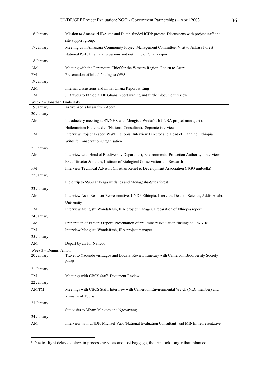| 16 January                   | Mission to Amanzuri IBA site and Dutch-funded ICDP project. Discussions with project staff and                                                 |
|------------------------------|------------------------------------------------------------------------------------------------------------------------------------------------|
|                              | site support group.                                                                                                                            |
| 17 January                   | Meeting with Amanzuri Community Project Management Committee. Visit to Ankasa Forest                                                           |
|                              | National Park. Internal discussions and outlining of Ghana report                                                                              |
| 18 January                   |                                                                                                                                                |
| AM                           | Meeting with the Paramount Chief for the Western Region. Return to Accra                                                                       |
| PM                           | Presentation of initial finding to GWS                                                                                                         |
| 19 January                   |                                                                                                                                                |
| AM                           | Internal discussions and initial Ghana Report writing                                                                                          |
| PM                           | JT travels to Ethiopia. DF Ghana report writing and further document review                                                                    |
| Week 3 - Jonathan Timberlake |                                                                                                                                                |
| 19 January                   | Arrive Addis by air from Accra                                                                                                                 |
| 20 January                   |                                                                                                                                                |
| AM                           | Introductory meeting at EWNHS with Mengistu Wodafrash (INBA project manager) and                                                               |
|                              | Hailemariam Hailemeskel (National Consultant). Separate interviews                                                                             |
| PM                           | Interview Project Leader, WWF Ethiopia. Interview Director and Head of Planning, Ethiopia                                                      |
|                              | Wildlife Conservation Organisation                                                                                                             |
| 21 January                   |                                                                                                                                                |
| AM                           | Interview with Head of Biodiversity Department, Environmental Protection Authority. Interview                                                  |
|                              | Exec Director & others, Institute of Biological Conservation and Research                                                                      |
| PM                           | Interview Technical Advisor, Christian Relief & Development Association (NGO umbrella)                                                         |
| 22 January                   |                                                                                                                                                |
|                              | Field trip to SSGs at Berga wetlands and Menagesha-Suba forest                                                                                 |
| 23 January                   |                                                                                                                                                |
| AM                           | Interview Asst. Resident Representative, UNDP Ethiopia. Interview Dean of Science, Addis Ababa                                                 |
|                              | University                                                                                                                                     |
| PM<br>24 January             | Interview Mengistu Wondafrash, IBA project manager. Preparation of Ethiopia report                                                             |
|                              |                                                                                                                                                |
| AM<br>PM                     | Preparation of Ethiopia report. Presentation of preliminary evaluation findings to EWNHS<br>Interview Mengistu Wondafrash, IBA project manager |
| 25 January                   |                                                                                                                                                |
|                              | Depart by air for Nairobi                                                                                                                      |
| AM<br>Week 3 - Dennis Fenton |                                                                                                                                                |
| 20 January                   | Travel to Yaoundé vis Lagos and Douala. Review Itinerary with Cameroon Biodiversity Society                                                    |
|                              | Staff <sup>8</sup>                                                                                                                             |
| 21 January                   |                                                                                                                                                |
| PM                           | Meetings with CBCS Staff. Document Review                                                                                                      |
| 22 January                   |                                                                                                                                                |
| $\mathrm{AM}/\mathrm{PM}$    | Meetings with CBCS Staff. Interview with Cameroon Environmental Watch (NLC member) and                                                         |
|                              | Ministry of Tourism.                                                                                                                           |
| 23 January                   |                                                                                                                                                |
|                              | Site visits to Mbam Minkom and Ngovayang                                                                                                       |
| 24 January                   |                                                                                                                                                |
| AM                           | Interview with UNDP, Michael Vabi (National Evaluation Consultant) and MINEF representative                                                    |

<span id="page-36-0"></span><sup>8</sup> Due to flight delays, delays in processing visas and lost baggage, the trip took longer than planned.

<u>.</u>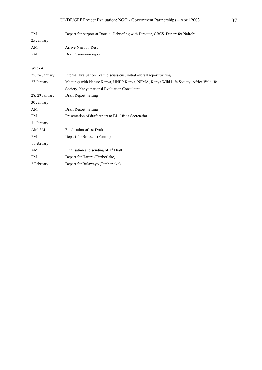| PM               | Depart for Airport at Douala. Debriefing with Director, CBCS. Depart for Nairobi       |
|------------------|----------------------------------------------------------------------------------------|
| 25 January       |                                                                                        |
| AM               | Arrive Nairobi. Rest                                                                   |
| <b>PM</b>        | Draft Cameroon report                                                                  |
|                  |                                                                                        |
| Week 4           |                                                                                        |
| $25, 26$ January | Internal Evaluation Team discussions, initial overall report writing                   |
| 27 January       | Meetings with Nature Kenya, UNDP Kenya, NEMA, Kenya Wild Life Society, Africa Wildlife |
|                  | Society, Kenya national Evaluation Consultant                                          |
| 28, 29 January   | Draft Report writing                                                                   |
| 30 January       |                                                                                        |
| AM               | Draft Report writing                                                                   |
| <b>PM</b>        | Presentation of draft report to BL Africa Secretariat                                  |
| 31 January       |                                                                                        |
| AM, PM           | Finalisation of 1st Draft                                                              |
| <b>PM</b>        | Depart for Brussels (Fenton)                                                           |
| 1 February       |                                                                                        |
| AM               | Finalisation and sending of 1 <sup>st</sup> Draft                                      |
| <b>PM</b>        | Depart for Harare (Timberlake)                                                         |
| 2 February       | Depart for Bulawayo (Timberlake)                                                       |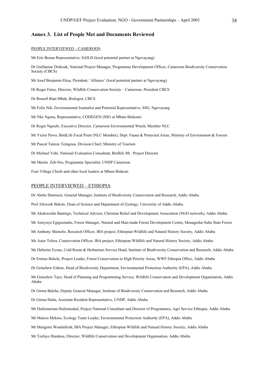#### **Annex 3. List of People Met and Documents Reviewed**

#### PEOPLE INTERVIEWED – CAMEROON

Mr Eric Benun Representative, SAILD (local potential partner at Ngovayang)

Dr Guillaume Dzikouk, National Project Manager, Programme Development Officer, Cameroon Biodiversity Conservation Society (CBCS)

Mr Josef Benjamin Ekoa, President, 'Alliance' (local potential partner at Ngovayang)

Dr Roger Futso, Director, Wildlife Conservation Society – Cameroon, President CBCS

Dr Russell Bian Mbah, Biologist, CBCS

Mr Felix Ndi, Environmental Journalist and Potential Representative, SSG, Ngovayang

Mr Nke Ngona, Representative, CODEGEN (SSG at Mbam Binkom)

Dr Roger Ngoufo, Executive Director, Cameroon Environmental Watch, Member NLC

Mr Victor Pewo, BirdLife Focal Point (NLC Member), Dept. Fauna & Protected Areas, Ministry of Environment & Forests

Mr Pascal Tatieze Temgoua, Division Chief, Ministry of Tourism

Dr Michael Vabi, National Evaluation Consultant, Birdlife Mt. Project Director

Mr Martin Zeh-Nio, Programme Specialist, UNDP Cameroon

Four Village Chiefs and other local leaders at Mbam Binkom

#### PEOPLE INTERVIEWED – ETHIOPIA

Dr Abebe Demissie, General Manager, Institute of Biodiversity Conservation and Research, Addis Ababa.

Prof Afework Bekele, Dean of Science and Department of Zoology, University of Addis Ababa.

Mr Akalewolde Bantirgo, Technical Advisor, Christian Relief and Development Association (NGO network), Addis Ababa

Mr Amiyayu Egigsemahu, Forest Manager, Natural and Man-made Forest Development Centre, Menagesha-Suba State Forest

Mr Anthony Shimelis, Research Officer, IBA project, Ethiopian Wildlife and Natural History Society, Addis Ababa

Ms Aster Tefera, Conservation Officer, IBA project, Ethiopian Wildlife and Natural History Society, Addis Ababa

Ms Deberite Eyene, Cold Room & Herbarium Service Head, Institute of Biodiversity Conservation and Research, Addis Ababa

Dr Ermias Bekele, Project Leader, Forest Conservation in High Priority Areas, WWF Ethiopia Office, Addis Ababa

Dr Getachew Eshete, Head of Biodiversity Department, Environmental Protection Authority (EPA), Addis Ababa.

Mr Getachew Taye, Head of Planning and Programming Service, Wildlife Conservation and Development Organisation, Addis Ababa

Dr Girma Balcha, Deputy General Manager, Institute of Biodiversity Conservation and Research, Addis Ababa

Dr Girma Hailu, Assistant Resident Representative, UNDP, Addis Ababa

Mr Hailemariam Hailemeskal, Project National Consultant and Director of Programmes, Agri Service Ethiopia, Addis Ababa

Mr Mateos Mekiso, Ecology Team Leader, Environmental Protection Authority (EPA), Addis Ababa.

Mr Mengistu Wondafresh, IBA Project Manager, Ethiopian Wildlife and Natural History Society, Addis Ababa

Mr Tesfaye Hundesa, Director, Wildlife Conservation and Development Organisation, Addis Ababa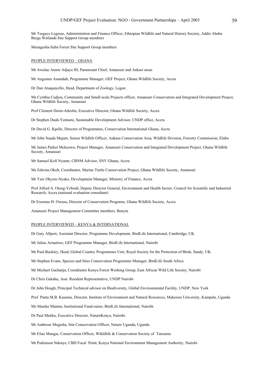Mr Tsegaye Legesse, Administration and Finance Officer, Ethiopian Wildlife and Natural History Society, Addis Ababa Berga Wetlands Site Support Group members

Menagesha-Suba Forest Site Support Group members

#### PEOPLE INTERVIEWED – GHANA

Mr Awulae Annor Adjaye III, Paramount Chief, Amansuri and Ankasi areas

Mr Augustus Asamdah, Programme Manager, GEF Project, Ghana Wildlife Society, Accra

Dr Dan Atuquayefio, Head, Department of Zoology, Legon

Ms Cynthia Cudjou, Community and Small-scale Projects officer, Amansuri Conservation and Integrated Development Project, Ghana Wildlife Society, Amansuri

Prof Clement Dorm-Adzobu, Executive Director, Ghana Wildlife Society, Accra

Dr Stephen Duah-Yentumi, Sustainable Development Advisor, UNDP office, Accra

Dr David G. Kpelle, Director of Programmes, Conservation International Ghana, Accra

Mr John Naada Majam, Senior Wildlife Officer, Ankasa Conservation Area, Wildlife Division, Forestry Commission, Elubo

Mr James Parker Mckeown, Project Manager, Amansuri Conservation and Integrated Development Project, Ghana Wildlife Society, Amansuri

Mr Samuel Kofi Nyame, CBNM Advisor, SNV Ghana, Accra

Ms Edwina Okoh, Coordinator, Marine Turtle Conservation Project, Ghana Wildlife Society, Amansuri

Mr Yaw Okyere-Nyako, Development Manager, Ministry of Finance, Accra

Prof Alfred A. Oteng-Yeboah, Deputy Director General, Environment and Health Sector, Council for Scientific and Industrial Research, Accra (national evaluation consultant)

Dr Erasmus H. Owusu, Director of Conservation Programs, Ghana Wildlife Society, Accra

Amansuri Project Management Committee members, Benyin

#### PEOPLE INTERVIEWED – KENYA & INTERNATIONAL

Dr Gary Allport, Assistant Director, Programme Development, BirdLife International, Cambridge, UK.

Mr Julius Arinaitwe, GEF Programme Manager, BirdLife International, Nairobi

Mr Paul Buckley, Head, Global Country Programmes Unit, Royal Society for the Protection of Birds, Sandy, UK.

Mr Stephen Evans, Species and Sites Conservation Programme Manager, BirdLife South Africa

Mr Michael Gachanja, Coordinator Kenya Forest Working Group, East African Wild Life Society, Nairobi

Dr Chris Gakahu, Asst. Resident Representative, UNDP Nairobi

Dr John Hough, Principal Technical advisor on Biodiversity, Global Environmental Facility, UNDP, New York

Prof Panta M.B. Kasoma, Director, Institute of Environment and Natural Resources, Makerere University, Kampala, Uganda

Ms Maaike Manten, Institutional Fund-raiser, BirdLife International, Nairobi

Dr Paul Matiku, Executive Director, NatureKenya, Nairobi.

Mr Ambrose Mugisha, Site Conservation Officer, Nature Uganda, Uganda

Mr Elias Mungai, Conservation Officer, Wikldlife & Conservation Society of Tanzania

Mr Parkinson Ndonye, CBD Focal Point, Kenya National Environment Management Authority, Nairobi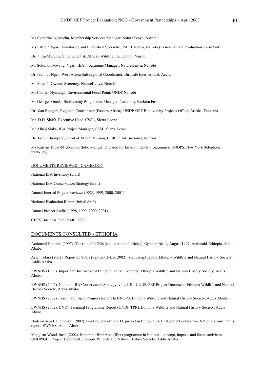Ms Catherine Ngarachu, Membership Services Manager, NatureKenya, Nairobi

Ms Patricia Ngari, Monitoring and Evaluation Specialist, PACT Kenya, Nairobi (Kenya national evaluation consultant)

Dr Philip Muruthi, Chief Scientist, African Wildlife Foundation, Nairobi

Mr Solomon Mwangi Ngari, IBA Programme Manager, NatureKenya, Nairobi

Dr Paulinus Ngeh, West Africa Sub-regional Coordinator, BirdLife International, Accra

Ms Fleur N'Gweno, Secretary, NatureKenya, Nairobi

Mr Charles Nyandiga, Environmental Focal Point, UNDP Nairobi

Mr Georges Oueda, Biodiversity Programme Manager, Naturama, Burkina Faso

Dr Alan Rodgers, Regional Coordinator (Eastern Africa), UNDP-GEF Biodiversity Projects Office, Arusha, Tanzania

Mr. D.D. Siaffa, Executive Head, CSSL, Sierra Leone

Mr Alhaji Siaka, IBA Project Manager, CSSL, Sierra Leone

Dr Hazell Thompson, Head of Africa Division, BirdLife International, Nairobi

Ms Katerin Topar-Michon, Portfolio Manger, Division for Environmental Programmes, UNOPS, New York (telephone interview)

#### DOCUMENTS REVIEWED - CAMEROON

National IBA Inventory (draft) National IBA Conservation Strategy (draft) Annual Internal Project Reviews (1998, 1999, 2000, 2001) National Evaluation Report (initial draft) Annual Project Audits (1998, 1999, 2000, 2001) CBCS Business Plan (draft), 2002

#### DOCUMENTS CONSULTED - ETHIOPIA

Actionaid-Ethiopia (1997). The role of NGOs [a collection of articles]. Opinion No. 1, August 1997. Actionaid-Ethiopia, Addis Ababa.

Aster Tefara (2002). Report on SSGs (Sept 2001-Dec 2002). Manuscript report. Ethiopia Wildlife and Natural History Society, Addis Ababa.

EWNHS (1996). Important Bird Areas of Ethiopia: a first inventory. Ethiopia Wildlife and Natural History Society, Addis Ababa.

EWNHS (2002). National IBA Conservation Strategy, vols. I-III. UNDP/GEF Project Document. Ethiopia Wildlife and Natural History Society, Addis Ababa.

EWNHS (2002). Terminal Project Progress Report to UNOPS. Ethiopia Wildlife and Natural History Society, Addis Ababa.

EWNHS (2002). UNDP Terminal Programme Report (UNDP TPR). Ethiopia Wildlife and Natural History Society, Addis Ababa.

Hailemariam Hailemeskel (2002). Brief review of the IBA project in Ethiopia for final project evaluation. National Consultant's report. EWNHS, Addis Ababa.

Mengistu Wondafrash (2002). Important Bird Area (IBA) programme in Ethiopia: concept, impacts and future activities. UNDP/GEF Project Document. Ethiopia Wildlife and Natural History Society, Addis Ababa.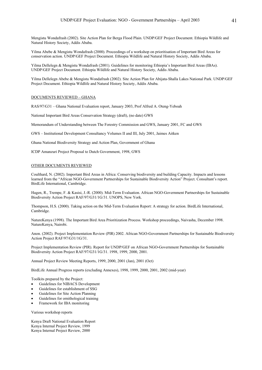Mengistu Wondafrash (2002). Site Action Plan for Berga Flood Plain. UNDP/GEF Project Document. Ethiopia Wildlife and Natural History Society, Addis Ababa.

Yilma Abebe & Mengistu Wondafrash (2000). Proceedings of a workshop on prioritisation of Important Bird Areas for conservation action. UNDP/GEF Project Document. Ethiopia Wildlife and Natural History Society, Addis Ababa.

Yilma Dellelegn & Mengistu Wondafrash (2001). Guidelines for monitoring Ethiopia's Important Bird Areas (IBAs). UNDP/GEF Project Document. Ethiopia Wildlife and Natural History Society, Addis Ababa.

Yilma Dellelegn Abebe & Mengistu Wondafrash (2002). Site Action Plan for Abijata-Shalla Lakes National Park. UNDP/GEF Project Document. Ethiopia Wildlife and Natural History Society, Addis Ababa.

#### DOCUMENTS REVIEWED – GHANA

RAS/97/G31 – Ghana National Evaluation report, January 2003, Prof Alfred A. Oteng-Yeboah

National Important Bird Areas Conservation Strategy (draft), (no date) GWS

Memorandum of Understanding between The Forestry Commission and GWS, January 2001, FC and GWS

GWS – Institutional Development Consultancy Volumes II and III, July 2001, Jaimes Aitken

Ghana National Biodiversity Strategy and Action Plan, Government of Ghana

ICDP Amanzuri Project Proposal to Dutch Government, 1998, GWS

#### OTHER DOCUMENTS REVIEWED

Coulthard, N. (2002). Important Bird Areas in Africa: Conserving biodiversity and building Capacity. Impacts and lessons learned from the "African NGO-Government Partnerships for Sustainable Biodiversity Action" Project. Consultant's report. BirdLife International, Cambridge.

Hagen, R., Trempe, F. & Kasisi, J.-R. (2000). Mid-Term Evaluation. African NGO-Government Partnerships for Sustainable Biodiversity Action Project RAF/97/G31/1G/31. UNOPS, New York.

Thompson, H.S. (2000). Taking action on the Mid-Term Evaluation Report: A strategy for action. BirdLife International, Cambridge.

NatureKenya (1998). The Important Bird Area Prioritization Process. Workshop proceedings, Naivasha, December 1998. NatureKenya, Nairobi.

Anon. (2002). Project Implementation Review (PIR) 2002. African NGO-Government Partnerships for Sustainable Biodiversity Action Project RAF/97/G31/1G/31.

Project Implementation Review (PIR). Report for UNDP/GEF on African NGO-Government Partnerships for Sustainable Biodiversity Action Project RAF/97/G31/1G/31. 1998, 1999, 2000, 2001.

Annual Project Review Meeting Reports, 1999, 2000, 2001 (Jan), 2001 (Oct)

BirdLife Annual Progress reports (excluding Annexes), 1998, 1999, 2000, 2001, 2002 (mid-year)

Toolkits prepared by the Project:

- Guidelines for NIBACS Development
- Guidelines for establishment of SSG
- Guidelines for Site Action Planning
- Guidelines for ornithological training
- Framework for IBA monitoring

Various workshop reports

Kenya Draft National Evaluation Report Kenya Internal Project Review, 1999 Kenya Internal Project Review, 2000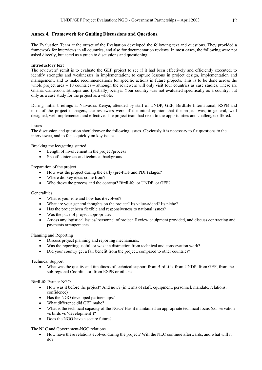### **Annex 4. Framework for Guiding Discussions and Questions.**

The Evaluation Team at the outset of the Evaluation developed the following text and questions. They provided a framework for interviews in all countries, and also for documentation reviews. In most cases, the following were not asked directly, but acted as a guide to discussions and questioning.

#### **Introductory text**

The reviewers' remit is to evaluate the GEF project to see if it had been effectively and efficiently executed; to identify strengths and weaknesses in implementation; to capture lessons in project design, implementation and management; and to make recommendations for specific actions in future projects. This is to be done across the whole project area – 10 countries – although the reviewers will only visit four countries as case studies. These are Ghana, Cameroon, Ethiopia and (partially) Kenya. Your country was not evaluated specifically as a country, but only as a case study for the project as a whole.

During initial briefings at Naivasha, Kenya, attended by staff of UNDP, GEF, BirdLife International, RSPB and most of the project managers, the reviewers were of the initial opinion that the project was, in general, well designed, well implemented and effective. The project team had risen to the opportunities and challenges offered.

#### Issues

The discussion and question should/cover the following issues. Obviously it is necessary to fix questions to the interviewee, and to focus quickly on key issues.

Breaking the ice/getting started

- Length of involvement in the project/process
- Specific interests and technical background

#### Preparation of the project

- How was the project during the early (pre-PDF and PDF) stages?
- Where did key ideas come from?
- Who drove the process and the concept? BirdLife, or UNDP, or GEF?

#### **Generalities**

- What is your role and how has it evolved?
- What are your general thoughts on the project? Its value-added? Its niche?
- Has the project been flexible and responsiveness to national issues?
- Was the pace of project appropriate?
- Assess any logistical issues/ personnel of project. Review equipment provided, and discuss contracting and payments arrangements.

#### Planning and Reporting

- Discuss project planning and reporting mechanisms.
- Was the reporting useful, or was it a distraction from technical and conservation work?
- Did your country get a fair benefit from the project, compared to other countries?

#### Technical Support

• What was the quality and timeliness of technical support from BirdLife, from UNDP, from GEF, from the sub-regional Coordinator, from RSPB or others?

#### BirdLife Partner NGO

- How was it before the project? And now? (in terms of staff, equipment, personnel, mandate, relations, confidence)
- Has the NGO developed partnerships?
- What difference did GEF make?
- What is the technical capacity of the NGO? Has it maintained an appropriate technical focus (conservation vs birds vs 'development')?
- Does the NGO have a secure future?

The NLC and Government-NGO relations

• How have these relations evolved during the project? Will the NLC continue afterwards, and what will it do?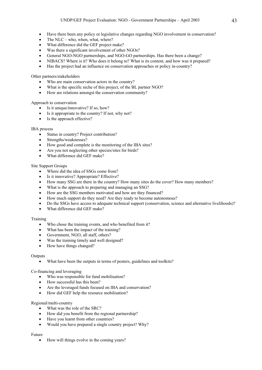- Have there been any policy or legislative changes regarding NGO involvement in conservation?
- The NLC who, when, what, where?
- What difference did the GEF project make?
- Was there a significant involvement of other NGOs?
- General NGO-NGO partnerships, and NGO-GO partnerships. Has there been a change?
- NIBACS? Where is it? Who does it belong to? What is its content, and how was it prepared?
- Has the project had an influence on conservation approaches or policy in-country?

Other partners/stakeholders

- Who are main conservation actors in the country?
- What is the specific niche of this project, of the BL partner NGO?
- How are relations amongst the conservation community?

### Approach to conservation

- Is it unique/innovative? If so, how?
- Is it appropriate to the country? If not, why not?
- Is the approach effective?

### IBA process

- Status in country? Project contribution?
- Strengths/weaknesses?
- How good and complete is the monitoring of the IBA sites?
- Are you not neglecting other species/sites for birds?
- What difference did GEF make?

### Site Support Groups

- Where did the idea of SSGs come from?
- Is it innovative? Appropriate? Effective?
- How many SSG are there in the country? How many sites do the cover? How many members?
- What is the approach to preparing and managing an SSG?
- How are the SSG members motivated and how are they financed?
- How much support do they need? Are they ready to become autonomous?
- Do the SSGs have access to adequate technical support (conservation, science and alternative livelihoods)?
- What difference did GEF make?

### Training

- Who chose the training events, and who benefited from it?
- What has been the impact of the training?
- Government, NGO, all staff, others?
- Was the training timely and well designed?
- How have things changed?

### **Outputs**

What have been the outputs in terms of posters, guidelines and toolkits?

### Co-financing and leveraging

- Who was responsible for fund mobilisation?
- How successful has this been?
- Are the leveraged funds focused on IBA and conservation?
- How did GEF help the resource mobilisation?

### Regional/multi-country

- What was the role of the SRC?
- How did you benefit from the regional partnership?
- Have you learnt from other countries?
- Would you have prepared a single country project? Why?

### Future

• How will things evolve in the coming years?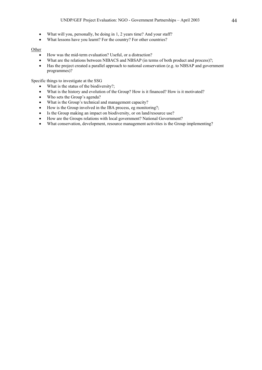- What will you, personally, be doing in 1, 2 years time? And your staff?
- What lessons have you learnt? For the country? For other countries?

#### **Other**

- How was the mid-term evaluation? Useful, or a distraction?
- What are the relations between NIBACS and NBSAP (in terms of both product and process)?;
- Has the project created a parallel approach to national conservation (e.g. to NBSAP and government programmes)?

Specific things to investigate at the SSG

- What is the status of the biodiversity?;
- What is the history and evolution of the Group? How is it financed? How is it motivated?
- Who sets the Group's agenda?
- What is the Group's technical and management capacity?
- How is the Group involved in the IBA process, eg monitoring?;
- Is the Group making an impact on biodiversity, or on land/resource use?
- How are the Groups relations with local government? National Government?
- What conservation, development, resource management activities is the Group implementing?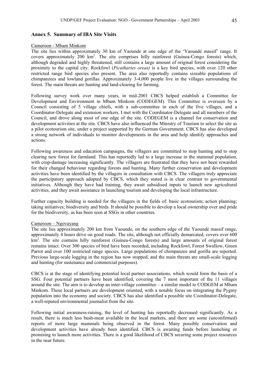# **Annex 5. Summary of IBA Site Visits**

### Cameroon - Mbam Minkom

The site lies within approximately 30 km of Yaounde at one edge of the 'Yaoundé massif' range. It covers approximately 200 km<sup>2</sup>. The site comprises hilly rainforest (Guinea-Congo forests) which, although degraded and highly threatened, still contains a large amount of original forest considering the proximity to the capital city. Rockfowl (*Picathartes oreas)* is a key bird species, with over 120 other restricted range bird species also present. The area also reportedly contains sizeable populations of chimpanzees and lowland gorillas. Approximately 3-4,000 people live in the villages surrounding the forest. The main threats are hunting and land-clearing for farming.

Following survey work over many years, in mid-2001 CBCS helped establish a Committee for Development and Environment in Mbam Minkom (CODEGEM). This Committee is overseen by a Council consisting of 5 village chiefs, with a sub-committee in each of the five villages, and a Coordinator-Delegate and extension workers. I met with the Coordinator-Delegate and all members of the Council, and drove along most of one edge of the site. CODEGEM is a channel for conservation and development activities at the site. CBCS have also influenced the Ministry of Tourism to select the site as a pilot ecotourism site, under a project supported by the German Government. CBCS has also developed a strong network of individuals to monitor developments in the area and help identify approaches and actions.

Following awareness and education campaigns, the villagers are committed to stop hunting and to stop clearing new forest for farmland. This has reportedly led to a large increase in the mammal population, with crop-damage increasing significantly. The villagers are frustrated that they have not been rewarded for their changed behaviour regarding forests and hunting. Many further conservation and development activities have been identified by the villagers in consultation with CBCS. The villagers truly appreciate the participatory approach adopted by CBCS, which they stated is in clear contrast to governmental initiatives. Although they have had training, they await subsidised inputs to launch new agricultural activities, and they await assistance in launching tourism and developing the local infrastructure.

Further capacity building is needed for the villagers in the fields of: basic ecotourism; action planning; taking initiatives; biodiversity and birds. It should be possible to develop a local ownership over and pride for the biodiversity, as has been seen at SSGs in other countries.

### Cameroon – Ngovayang

The site lies approximately 200 km from Yaounde, on the southern edge of the Yaoundé massif range, approximately 4 hours drive on good roads. The site, although not officially demarcated, covers over 600 km<sup>2</sup>. The site contains hilly rainforest (Guinea-Congo forests) and large amounts of original forest remains intact. Over 300 species of bird have been recorded, including Rockfowl, Forest Swallow, Green Parrot and over 100 restricted range species. Large populations of chimpanzee and gorilla are reported. Previous large-scale logging in the region has now stopped, and the main threats are small-scale logging and hunting (for sustenance and commercial purposes).

CBCS is at the stage of identifying potential local partner associations, which would form the basis of a SSG. Four potential partners have been identified, covering the 7 most important of the 11 villages around the site. The aim is to develop an inter-village committee – a similar model to CODGEM at Mbam Minkom. These local partners are development oriented, with a notable focus on integrating the Pygmy population into the economy and society. CBCS has also identified a possible site Coordinator-Delegate, a well-reputed environmental journalist from the site.

Following initial awareness-raising, the level of hunting has reportedly decreased significantly. As a result, there is much less bush-meat available in the local markets, and there are some (unconfirmed) reports of more large mammals being observed in the forest. Many possible conservation and development activities have already been identified. CBCS is awaiting funds before launching or promising to launch more activities. There is a good likelihood of CBCS securing some project resources in the near future.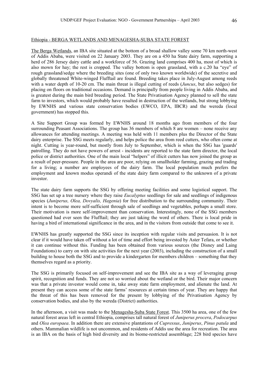### Ethiopia - BERGA WETLANDS AND MENAGESHA-SUBA STATE FOREST

The Berga Wetlands, an IBA site situated at the bottom of a broad shallow valley some 70 km north-west of Addis Ababa, were visited on 22 January 2003. They are on a 450 ha State dairy farm, supporting a herd of 286 Jersey dairy cattle and a workforce of 56. Grazing land comprises 400 ha, most of which is also mown for hay; the rest is cropped. The valley bottom is open grassland, with a c.20 ha "eye" of rough grassland/sedge where the breeding sites (one of only two known worldwide) of the secretive and globally threatened White-winged Flufftail are found. Breeding takes place in July-August among reeds with a water depth of 10-20 cm. The main threat is illegal cutting of reeds (*Juncus*, but also sedges) for placing on floors on traditional occasions. Demand is principally from people living in Addis Ababa, and is greatest during the main bird breeding period. The State Privatisation Agency planned to sell the state farm to investors, which would probably have resulted in destruction of the wetlands, but strong lobbying by EWNHS and various state conservation bodies (EWCO, EPA, IBCR) and the wereda (local government) has stopped this.

A Site Support Group was formed by EWNHS around 18 months ago from members of the four surrounding Peasant Associations. The group has 36 members of which 8 are women – none receive any allowances for attending meetings. A meeting was held with 11 members plus the Director of the State dairy enterprise. The SSG meets regularly, and helps police the area from reed cutters, who often come at night. Cutting is year-round, but mostly from July to September, which is when the SSG has 'guards' patrolling. They do not have powers of arrest - incidents are reported to the state farm director, the local police or district authorities. One of the main local "helpers" of illicit cutters has now joined the group as a result of peer-pressure. People in the area are poor, relying on smallholder farming, grazing and trading for a living; a number are employees of the dairy farm. The local population much prefers the employment and known modus operandi of the state dairy farm compared to the unknown of a private investor.

The state dairy farm supports the SSG by offering meeting facilities and some logistical support. The SSG has set up a tree nursery where they raise *Eucalyptus* seedlings for sale and seedlings of indigenous species (*Juniperus, Olea, Dovyalis, Hagenia*) for free distribution to the surrounding community. Their intent is to become more self-sufficient through sale of seedlings and vegetables, perhaps a small store. Their motivation is more self-improvement than conservation. Interestingly, none of the SSG members questioned had ever seen the Flufftail; they are just taking the word of others. There is local pride in having a bird of international significance in the area, and in the visitors from outside that come to see it.

EWNHS has greatly supported the SSG since its inception with regular visits and persuasion. It is not clear if it would have taken off without a lot of time and effort being invested by Aster Tefara, or whether it can continue without this. Funding has been obtained from various sources (the Disney and Laing Foundations) to carry on with site activities for the next year (2003), including the construction of a small building to house both the SSG and to provide a kindergarten for members children – something that they themselves regard as a priority.

The SSG is primarily focused on self-improvement and see the IBA site as a way of leveraging group spirit, recognition and funds. They are not so worried about the wetland or the bird. Their major concern was that a private investor would come in, take away state farm employment, and alienate the land. At present they can access some of the state farms' resources at certain times of year. They are happy that the threat of this has been removed for the present by lobbying of the Privatisation Agency by conservation bodies, and also by the wereda (District) authorities.

In the afternoon, a visit was made to the Menagesha-Suba State Forest. This 3500 ha area, one of the few natural forest areas left in central Ethiopia, comprises tall natural forest of *Juniperus procera*, *Podocarpus* and *Olea europaea*. In addition there are extensive plantations of *Cupressus*, *Juniperus*, *Pinus patula* and others. Mammalian wildlife is not uncommon, and residents of Addis use the area for recreation. The area is an IBA on the basis of high bird diversity and its biome-restricted assemblage; 228 bird species have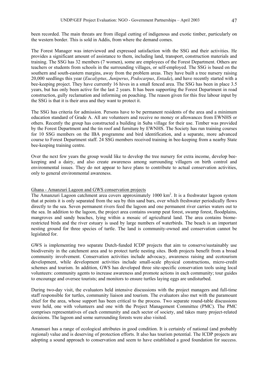been recorded. The main threats are from illegal cutting of indigenous and exotic timber, particularly on the western border. This is sold in Addis, from where the demand comes.

The Forest Manager was interviewed and expressed satisfaction with the SSG and their activities. He provides a significant amount of assistance to them, including land, transport, construction materials and training. The SSG has 32 members (7 women), some are employees of the Forest Department. Others are teachers or students from schools in the surrounding villages, or self-employed. The SSG is based on the southern and south-eastern margins, away from the problem areas. They have built a tree nursery raising 20,000 seedlings this year (*Eucalyptus*, *Juniperus*, *Podocarpus*, *Entada*), and have recently started with a bee-keeping project. They have currently 16 hives in a small fenced area. The SSG has been in place 3.5 years, but has only been active for the last 2 years. It has been supporting the Forest Department in road construction, gully reclamation and informing on poaching. The reason given for this free labour input by the SSG is that it is their area and they want to protect it.

The SSG has criteria for admission. Persons have to be permanent residents of the area and a minimum education standard of Grade A. All are volunteers and receive no money or allowances from EWNHS or others. Recently the group has constructed a building in Suba village for their use. Timber was provided by the Forest Department and the tin roof and furniture by EWNHS. The Society has run training courses for 10 SSG members on the IBA programme and bird identification, and a separate, more advanced course to Forest Department staff. 24 SSG members received training in bee-keeping from a nearby State bee-keeping training centre.

Over the next few years the group would like to develop the tree nursery for extra income, develop beekeeping and a dairy, and also create awareness among surrounding villagers on birth control and environmental issues. They do not appear to have plans to contribute to actual conservation activities, only to general environmental awareness.

### Ghana - Amanzuri Lagoon and GWS conservation projects

The Amanzuri Lagoon catchment area covers approximately 1000 km<sup>2</sup>. It is a freshwater lagoon system that at points it is only separated from the sea by thin sand bars, over which freshwater periodically flows directly to the sea. Seven permanent rivers feed the lagoon and one permanent river carries waters out to the sea. In addition to the lagoon, the project area contains swamp peat forest, swamp forest, floodplains, mangroves and sandy beaches, lying within a mosaic of agricultural land. The area contains biomerestricted birds and the river estuary is used by large numbers of waterbirds. The beach is an important nesting ground for three species of turtle. The land is community-owned and conservation cannot be legislated for.

GWS is implementing two separate Dutch-funded ICDP projects that aim to conserve/sustainably use biodiversity in the catchment area and to protect turtle nesting sites. Both projects benefit from a broad community involvement. Conservation activities include advocacy, awareness raising and ecotourism development, while development activities include small-scale physical constructions, micro-credit schemes and tourism. In addition, GWS has developed three site-specific conservation tools using local volunteers: community agents to increase awareness and promote actions in each community; tour guides to encourage and oversee tourists; and monitors to ensure turtles laying eggs are undisturbed.

During two-day visit, the evaluators held intensive discussions with the project managers and full-time staff responsible for turtles, community liaison and tourism. The evaluators also met with the paramount chief for the area, whose support has been critical to the process. Two separate round-table discussions were held, one with volunteers and one with the Project Management Committee (PMC). The PMC comprises representatives of each community and each sector of society, and takes many project-related decisions. The lagoon and some surrounding forests were also visited.

Amansuri has a range of ecological attributes in good condition. It is certainly of national (and probably regional) value and is deserving of protection efforts. It also has tourism potential. The ICDP projects are adopting a sound approach to conservation and seem to have established a good foundation for success.